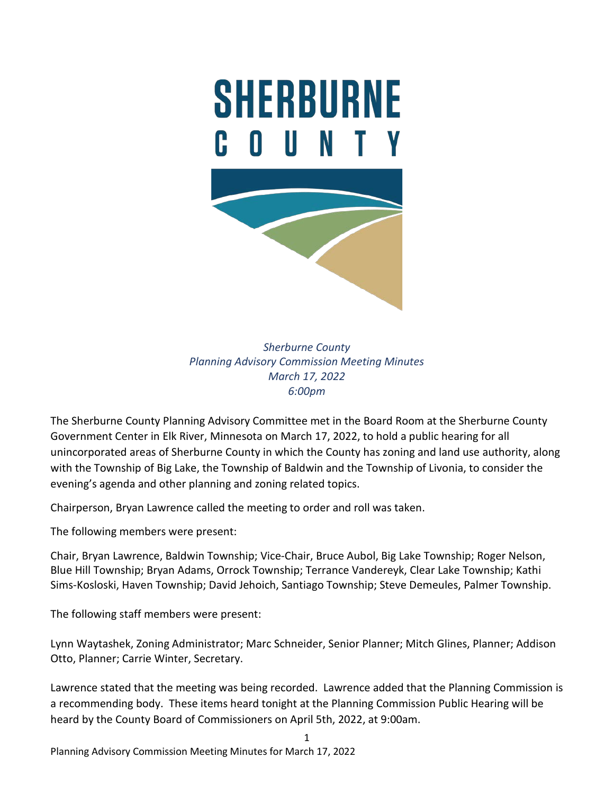

*Sherburne County Planning Advisory Commission Meeting Minutes March 17, 2022 6:00pm*

The Sherburne County Planning Advisory Committee met in the Board Room at the Sherburne County Government Center in Elk River, Minnesota on March 17, 2022, to hold a public hearing for all unincorporated areas of Sherburne County in which the County has zoning and land use authority, along with the Township of Big Lake, the Township of Baldwin and the Township of Livonia, to consider the evening's agenda and other planning and zoning related topics.

Chairperson, Bryan Lawrence called the meeting to order and roll was taken.

The following members were present:

Chair, Bryan Lawrence, Baldwin Township; Vice-Chair, Bruce Aubol, Big Lake Township; Roger Nelson, Blue Hill Township; Bryan Adams, Orrock Township; Terrance Vandereyk, Clear Lake Township; Kathi Sims-Kosloski, Haven Township; David Jehoich, Santiago Township; Steve Demeules, Palmer Township.

The following staff members were present:

Lynn Waytashek, Zoning Administrator; Marc Schneider, Senior Planner; Mitch Glines, Planner; Addison Otto, Planner; Carrie Winter, Secretary.

Lawrence stated that the meeting was being recorded. Lawrence added that the Planning Commission is a recommending body. These items heard tonight at the Planning Commission Public Hearing will be heard by the County Board of Commissioners on April 5th, 2022, at 9:00am.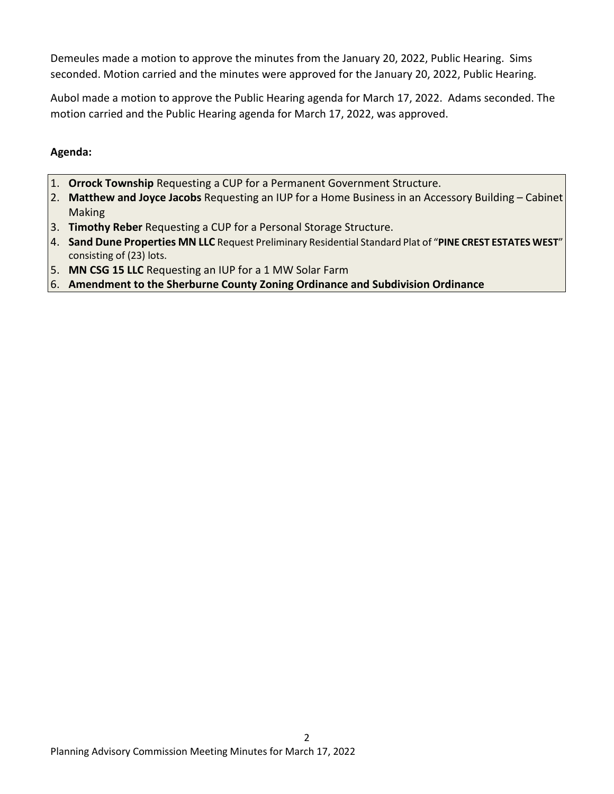Demeules made a motion to approve the minutes from the January 20, 2022, Public Hearing. Sims seconded. Motion carried and the minutes were approved for the January 20, 2022, Public Hearing.

Aubol made a motion to approve the Public Hearing agenda for March 17, 2022. Adams seconded. The motion carried and the Public Hearing agenda for March 17, 2022, was approved.

# **Agenda:**

- 1. **Orrock Township** Requesting a CUP for a Permanent Government Structure.
- 2. **Matthew and Joyce Jacobs** Requesting an IUP for a Home Business in an Accessory Building Cabinet Making
- 3. **Timothy Reber** Requesting a CUP for a Personal Storage Structure.
- 4. **Sand Dune Properties MN LLC** Request Preliminary Residential Standard Plat of "**PINE CREST ESTATES WEST**" consisting of (23) lots.
- 5. **MN CSG 15 LLC** Requesting an IUP for a 1 MW Solar Farm
- 6. **Amendment to the Sherburne County Zoning Ordinance and Subdivision Ordinance**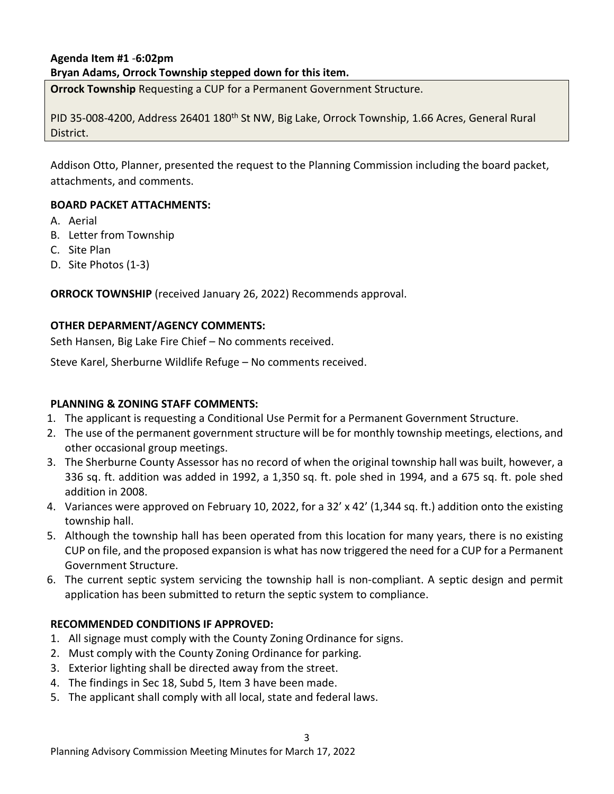## **Agenda Item #1** *-***6:02pm Bryan Adams, Orrock Township stepped down for this item.**

**Orrock Township** Requesting a CUP for a Permanent Government Structure.

PID 35-008-4200, Address 26401 180<sup>th</sup> St NW, Big Lake, Orrock Township, 1.66 Acres, General Rural District.

Addison Otto, Planner, presented the request to the Planning Commission including the board packet, attachments, and comments.

### **BOARD PACKET ATTACHMENTS:**

- A. Aerial
- B. Letter from Township
- C. Site Plan
- D. Site Photos (1-3)

**ORROCK TOWNSHIP** (received January 26, 2022) Recommends approval.

#### **OTHER DEPARMENT/AGENCY COMMENTS:**

Seth Hansen, Big Lake Fire Chief – No comments received.

Steve Karel, Sherburne Wildlife Refuge – No comments received.

#### **PLANNING & ZONING STAFF COMMENTS:**

- 1. The applicant is requesting a Conditional Use Permit for a Permanent Government Structure.
- 2. The use of the permanent government structure will be for monthly township meetings, elections, and other occasional group meetings.
- 3. The Sherburne County Assessor has no record of when the original township hall was built, however, a 336 sq. ft. addition was added in 1992, a 1,350 sq. ft. pole shed in 1994, and a 675 sq. ft. pole shed addition in 2008.
- 4. Variances were approved on February 10, 2022, for a 32' x 42' (1,344 sq. ft.) addition onto the existing township hall.
- 5. Although the township hall has been operated from this location for many years, there is no existing CUP on file, and the proposed expansion is what has now triggered the need for a CUP for a Permanent Government Structure.
- 6. The current septic system servicing the township hall is non-compliant. A septic design and permit application has been submitted to return the septic system to compliance.

3

## **RECOMMENDED CONDITIONS IF APPROVED:**

- 1. All signage must comply with the County Zoning Ordinance for signs.
- 2. Must comply with the County Zoning Ordinance for parking.
- 3. Exterior lighting shall be directed away from the street.
- 4. The findings in Sec 18, Subd 5, Item 3 have been made.
- 5. The applicant shall comply with all local, state and federal laws.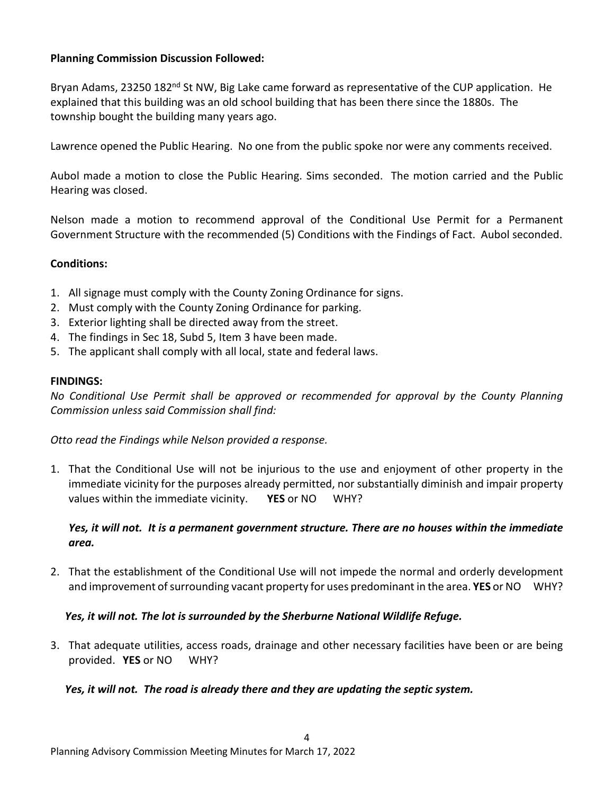### **Planning Commission Discussion Followed:**

Bryan Adams, 23250 182<sup>nd</sup> St NW, Big Lake came forward as representative of the CUP application. He explained that this building was an old school building that has been there since the 1880s. The township bought the building many years ago.

Lawrence opened the Public Hearing. No one from the public spoke nor were any comments received.

Aubol made a motion to close the Public Hearing. Sims seconded. The motion carried and the Public Hearing was closed.

Nelson made a motion to recommend approval of the Conditional Use Permit for a Permanent Government Structure with the recommended (5) Conditions with the Findings of Fact. Aubol seconded.

### **Conditions:**

- 1. All signage must comply with the County Zoning Ordinance for signs.
- 2. Must comply with the County Zoning Ordinance for parking.
- 3. Exterior lighting shall be directed away from the street.
- 4. The findings in Sec 18, Subd 5, Item 3 have been made.
- 5. The applicant shall comply with all local, state and federal laws.

#### **FINDINGS:**

*No Conditional Use Permit shall be approved or recommended for approval by the County Planning Commission unless said Commission shall find:*

*Otto read the Findings while Nelson provided a response.*

1. That the Conditional Use will not be injurious to the use and enjoyment of other property in the immediate vicinity for the purposes already permitted, nor substantially diminish and impair property values within the immediate vicinity. **YES** or NO WHY?

### *Yes, it will not. It is a permanent government structure. There are no houses within the immediate area.*

2. That the establishment of the Conditional Use will not impede the normal and orderly development and improvement of surrounding vacant property for uses predominant in the area. **YES** or NO WHY?

#### *Yes, it will not. The lot is surrounded by the Sherburne National Wildlife Refuge.*

3. That adequate utilities, access roads, drainage and other necessary facilities have been or are being provided. **YES** or NO WHY?

4

#### *Yes, it will not. The road is already there and they are updating the septic system.*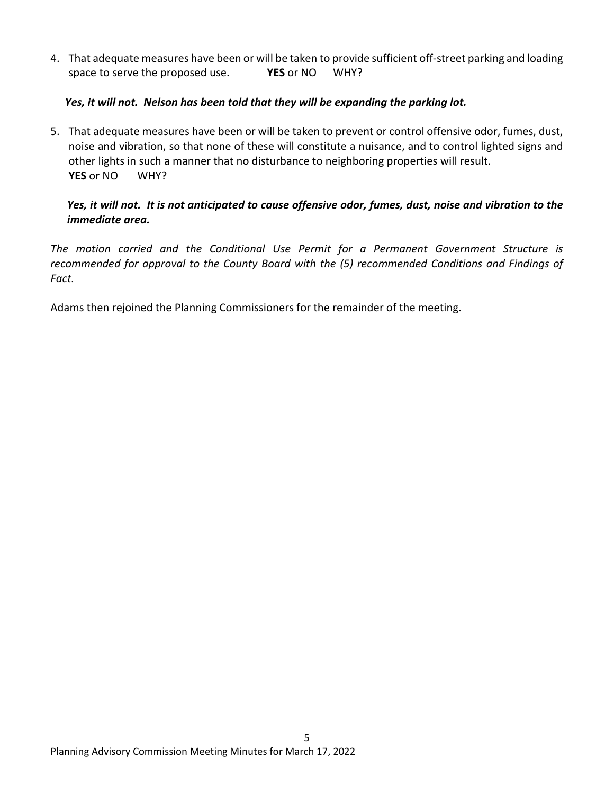4. That adequate measures have been or will be taken to provide sufficient off-street parking and loading space to serve the proposed use. **YES** or NO WHY?

## *Yes, it will not. Nelson has been told that they will be expanding the parking lot.*

5. That adequate measures have been or will be taken to prevent or control offensive odor, fumes, dust, noise and vibration, so that none of these will constitute a nuisance, and to control lighted signs and other lights in such a manner that no disturbance to neighboring properties will result. **YES** or NO WHY?

# *Yes, it will not. It is not anticipated to cause offensive odor, fumes, dust, noise and vibration to the immediate area.*

*The motion carried and the Conditional Use Permit for a Permanent Government Structure is recommended for approval to the County Board with the (5) recommended Conditions and Findings of Fact.*

Adams then rejoined the Planning Commissioners for the remainder of the meeting.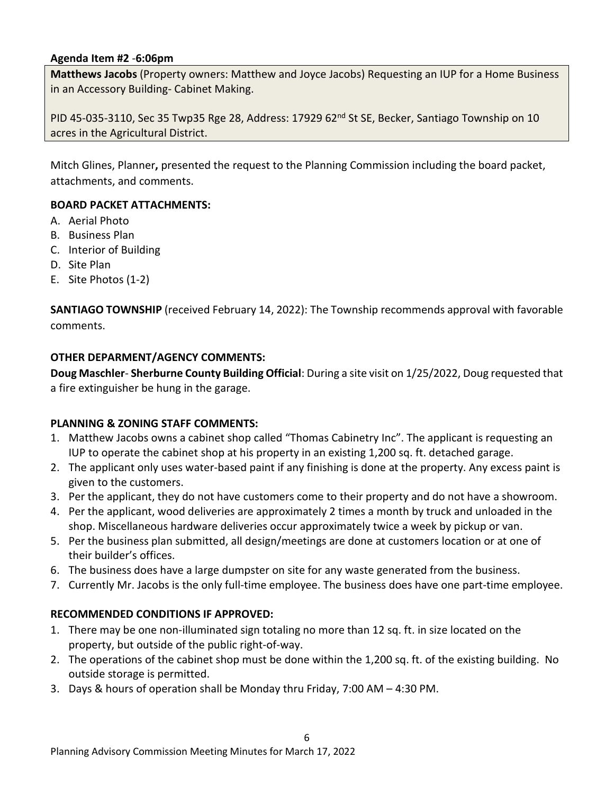### **Agenda Item #2** *-***6:06pm**

**Matthews Jacobs** (Property owners: Matthew and Joyce Jacobs) Requesting an IUP for a Home Business in an Accessory Building- Cabinet Making.

PID 45-035-3110, Sec 35 Twp35 Rge 28, Address: 17929 62<sup>nd</sup> St SE, Becker, Santiago Township on 10 acres in the Agricultural District.

Mitch Glines, Planner**,** presented the request to the Planning Commission including the board packet, attachments, and comments.

### **BOARD PACKET ATTACHMENTS:**

- A. Aerial Photo
- B. Business Plan
- C. Interior of Building
- D. Site Plan
- E. Site Photos (1-2)

**SANTIAGO TOWNSHIP** (received February 14, 2022): The Township recommends approval with favorable comments.

#### **OTHER DEPARMENT/AGENCY COMMENTS:**

**Doug Maschler**- **Sherburne County Building Official**: During a site visit on 1/25/2022, Doug requested that a fire extinguisher be hung in the garage.

#### **PLANNING & ZONING STAFF COMMENTS:**

- 1. Matthew Jacobs owns a cabinet shop called "Thomas Cabinetry Inc". The applicant is requesting an IUP to operate the cabinet shop at his property in an existing 1,200 sq. ft. detached garage.
- 2. The applicant only uses water-based paint if any finishing is done at the property. Any excess paint is given to the customers.
- 3. Per the applicant, they do not have customers come to their property and do not have a showroom.
- 4. Per the applicant, wood deliveries are approximately 2 times a month by truck and unloaded in the shop. Miscellaneous hardware deliveries occur approximately twice a week by pickup or van.
- 5. Per the business plan submitted, all design/meetings are done at customers location or at one of their builder's offices.
- 6. The business does have a large dumpster on site for any waste generated from the business.
- 7. Currently Mr. Jacobs is the only full-time employee. The business does have one part-time employee.

#### **RECOMMENDED CONDITIONS IF APPROVED:**

- 1. There may be one non-illuminated sign totaling no more than 12 sq. ft. in size located on the property, but outside of the public right-of-way.
- 2. The operations of the cabinet shop must be done within the 1,200 sq. ft. of the existing building. No outside storage is permitted.
- 3. Days & hours of operation shall be Monday thru Friday, 7:00 AM 4:30 PM.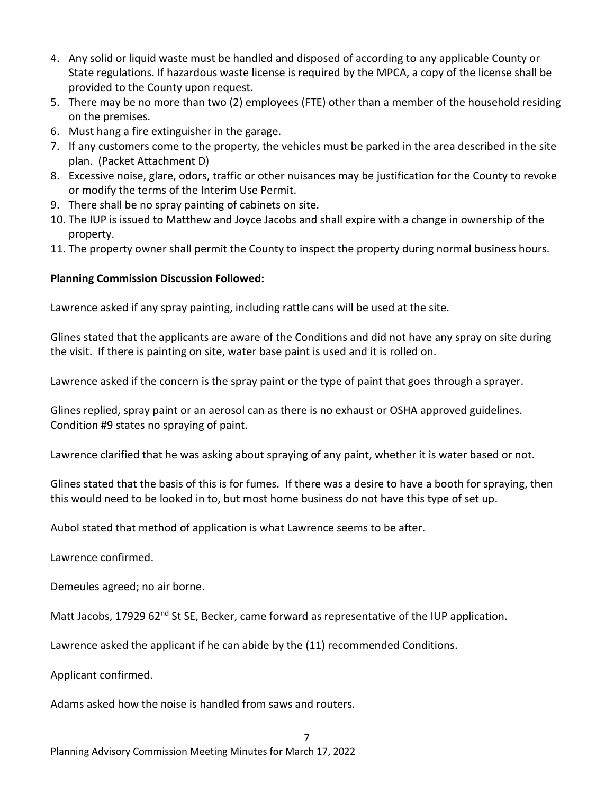- 4. Any solid or liquid waste must be handled and disposed of according to any applicable County or State regulations. If hazardous waste license is required by the MPCA, a copy of the license shall be provided to the County upon request.
- 5. There may be no more than two (2) employees (FTE) other than a member of the household residing on the premises.
- 6. Must hang a fire extinguisher in the garage.
- 7. If any customers come to the property, the vehicles must be parked in the area described in the site plan. (Packet Attachment D)
- 8. Excessive noise, glare, odors, traffic or other nuisances may be justification for the County to revoke or modify the terms of the Interim Use Permit.
- 9. There shall be no spray painting of cabinets on site.
- 10. The IUP is issued to Matthew and Joyce Jacobs and shall expire with a change in ownership of the property.
- 11. The property owner shall permit the County to inspect the property during normal business hours.

# **Planning Commission Discussion Followed:**

Lawrence asked if any spray painting, including rattle cans will be used at the site.

Glines stated that the applicants are aware of the Conditions and did not have any spray on site during the visit. If there is painting on site, water base paint is used and it is rolled on.

Lawrence asked if the concern is the spray paint or the type of paint that goes through a sprayer.

Glines replied, spray paint or an aerosol can as there is no exhaust or OSHA approved guidelines. Condition #9 states no spraying of paint.

Lawrence clarified that he was asking about spraying of any paint, whether it is water based or not.

Glines stated that the basis of this is for fumes. If there was a desire to have a booth for spraying, then this would need to be looked in to, but most home business do not have this type of set up.

Aubol stated that method of application is what Lawrence seems to be after.

Lawrence confirmed.

Demeules agreed; no air borne.

Matt Jacobs, 17929 62<sup>nd</sup> St SE, Becker, came forward as representative of the IUP application.

7

Lawrence asked the applicant if he can abide by the (11) recommended Conditions.

Applicant confirmed.

Adams asked how the noise is handled from saws and routers.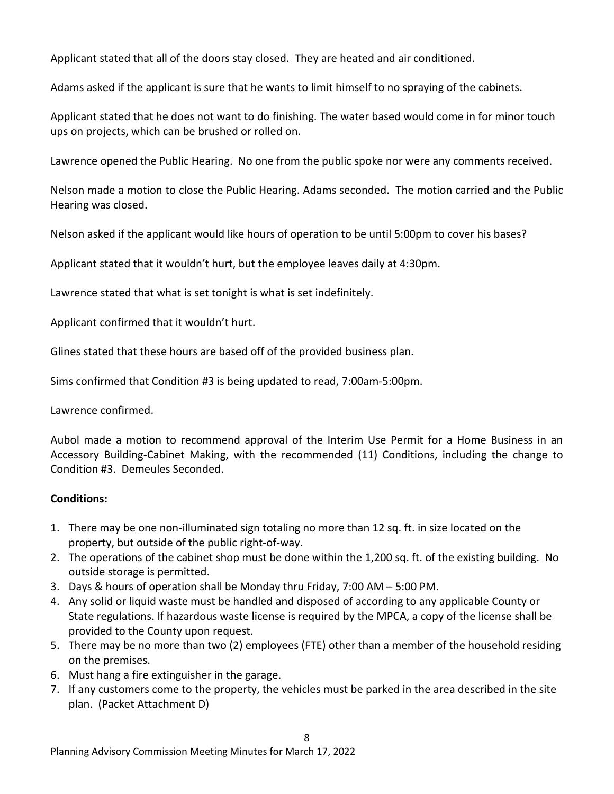Applicant stated that all of the doors stay closed. They are heated and air conditioned.

Adams asked if the applicant is sure that he wants to limit himself to no spraying of the cabinets.

Applicant stated that he does not want to do finishing. The water based would come in for minor touch ups on projects, which can be brushed or rolled on.

Lawrence opened the Public Hearing. No one from the public spoke nor were any comments received.

Nelson made a motion to close the Public Hearing. Adams seconded. The motion carried and the Public Hearing was closed.

Nelson asked if the applicant would like hours of operation to be until 5:00pm to cover his bases?

Applicant stated that it wouldn't hurt, but the employee leaves daily at 4:30pm.

Lawrence stated that what is set tonight is what is set indefinitely.

Applicant confirmed that it wouldn't hurt.

Glines stated that these hours are based off of the provided business plan.

Sims confirmed that Condition #3 is being updated to read, 7:00am-5:00pm.

Lawrence confirmed.

Aubol made a motion to recommend approval of the Interim Use Permit for a Home Business in an Accessory Building-Cabinet Making, with the recommended (11) Conditions, including the change to Condition #3. Demeules Seconded.

#### **Conditions:**

- 1. There may be one non-illuminated sign totaling no more than 12 sq. ft. in size located on the property, but outside of the public right-of-way.
- 2. The operations of the cabinet shop must be done within the 1,200 sq. ft. of the existing building. No outside storage is permitted.
- 3. Days & hours of operation shall be Monday thru Friday, 7:00 AM 5:00 PM.
- 4. Any solid or liquid waste must be handled and disposed of according to any applicable County or State regulations. If hazardous waste license is required by the MPCA, a copy of the license shall be provided to the County upon request.
- 5. There may be no more than two (2) employees (FTE) other than a member of the household residing on the premises.
- 6. Must hang a fire extinguisher in the garage.
- 7. If any customers come to the property, the vehicles must be parked in the area described in the site plan. (Packet Attachment D)

8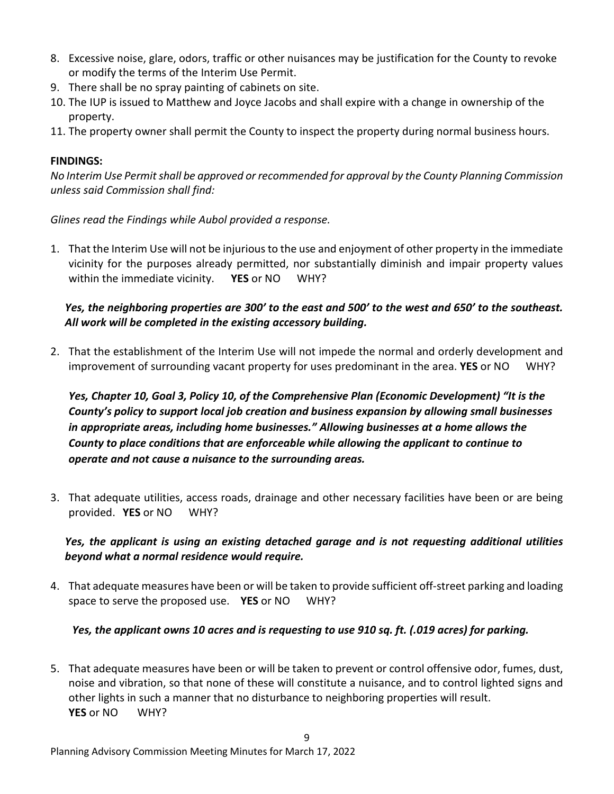- 8. Excessive noise, glare, odors, traffic or other nuisances may be justification for the County to revoke or modify the terms of the Interim Use Permit.
- 9. There shall be no spray painting of cabinets on site.
- 10. The IUP is issued to Matthew and Joyce Jacobs and shall expire with a change in ownership of the property.
- 11. The property owner shall permit the County to inspect the property during normal business hours.

## **FINDINGS:**

*No Interim Use Permit shall be approved or recommended for approval by the County Planning Commission unless said Commission shall find:*

*Glines read the Findings while Aubol provided a response.*

1. That the Interim Use will not be injurious to the use and enjoyment of other property in the immediate vicinity for the purposes already permitted, nor substantially diminish and impair property values within the immediate vicinity. **YES** or NO WHY?

# *Yes, the neighboring properties are 300' to the east and 500' to the west and 650' to the southeast. All work will be completed in the existing accessory building.*

2. That the establishment of the Interim Use will not impede the normal and orderly development and improvement of surrounding vacant property for uses predominant in the area. **YES** or NO WHY?

*Yes, Chapter 10, Goal 3, Policy 10, of the Comprehensive Plan (Economic Development) "It is the County's policy to support local job creation and business expansion by allowing small businesses in appropriate areas, including home businesses." Allowing businesses at a home allows the County to place conditions that are enforceable while allowing the applicant to continue to operate and not cause a nuisance to the surrounding areas.* 

3. That adequate utilities, access roads, drainage and other necessary facilities have been or are being provided. **YES** or NO WHY?

*Yes, the applicant is using an existing detached garage and is not requesting additional utilities beyond what a normal residence would require.*

4. That adequate measures have been or will be taken to provide sufficient off-street parking and loading space to serve the proposed use. **YES** or NO WHY?

# *Yes, the applicant owns 10 acres and is requesting to use 910 sq. ft. (.019 acres) for parking.*

5. That adequate measures have been or will be taken to prevent or control offensive odor, fumes, dust, noise and vibration, so that none of these will constitute a nuisance, and to control lighted signs and other lights in such a manner that no disturbance to neighboring properties will result. **YES** or NO WHY?

9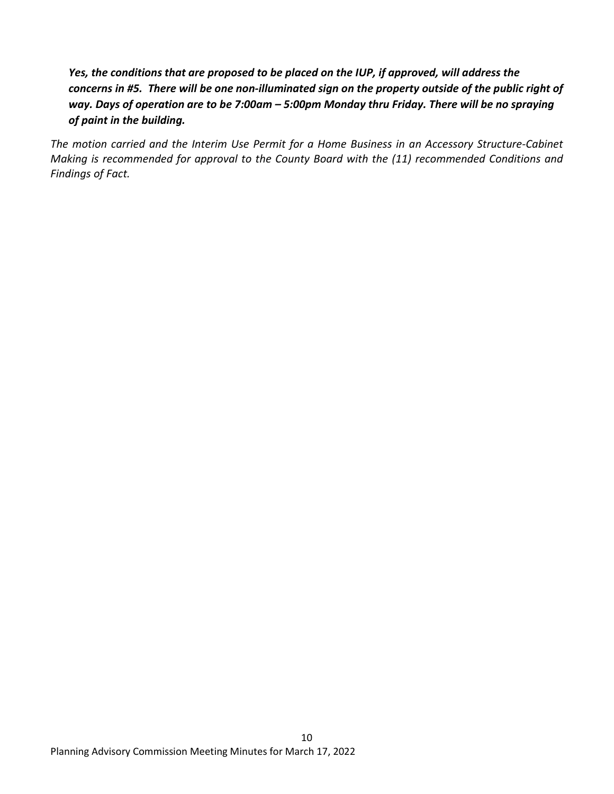# *Yes, the conditions that are proposed to be placed on the IUP, if approved, will address the concerns in #5. There will be one non-illuminated sign on the property outside of the public right of way. Days of operation are to be 7:00am – 5:00pm Monday thru Friday. There will be no spraying of paint in the building.*

*The motion carried and the Interim Use Permit for a Home Business in an Accessory Structure-Cabinet Making is recommended for approval to the County Board with the (11) recommended Conditions and Findings of Fact.*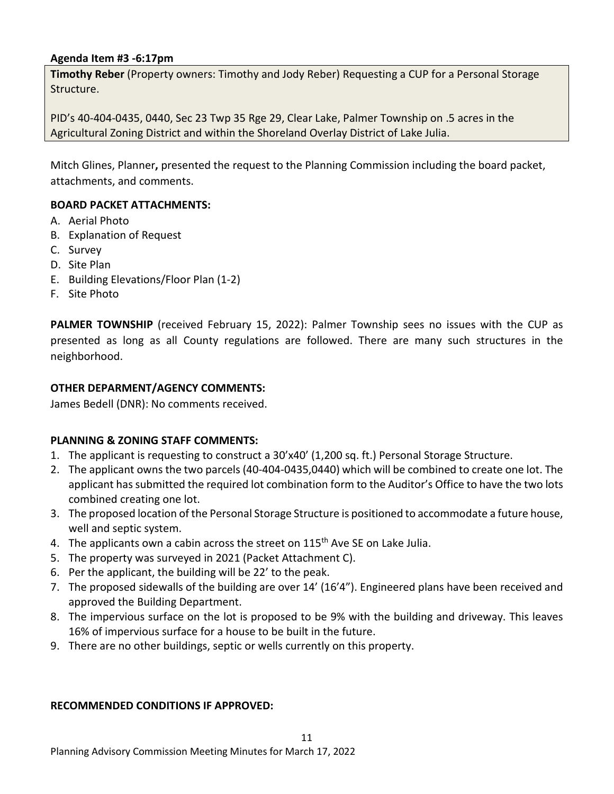### **Agenda Item #3 -6:17pm**

**Timothy Reber** (Property owners: Timothy and Jody Reber) Requesting a CUP for a Personal Storage Structure.

PID's 40-404-0435, 0440, Sec 23 Twp 35 Rge 29, Clear Lake, Palmer Township on .5 acres in the Agricultural Zoning District and within the Shoreland Overlay District of Lake Julia.

Mitch Glines, Planner**,** presented the request to the Planning Commission including the board packet, attachments, and comments.

### **BOARD PACKET ATTACHMENTS:**

- A. Aerial Photo
- B. Explanation of Request
- C. Survey
- D. Site Plan
- E. Building Elevations/Floor Plan (1-2)
- F. Site Photo

**PALMER TOWNSHIP** (received February 15, 2022): Palmer Township sees no issues with the CUP as presented as long as all County regulations are followed. There are many such structures in the neighborhood.

#### **OTHER DEPARMENT/AGENCY COMMENTS:**

James Bedell (DNR): No comments received.

#### **PLANNING & ZONING STAFF COMMENTS:**

- 1. The applicant is requesting to construct a 30'x40' (1,200 sq. ft.) Personal Storage Structure.
- 2. The applicant owns the two parcels (40-404-0435,0440) which will be combined to create one lot. The applicant has submitted the required lot combination form to the Auditor's Office to have the two lots combined creating one lot.
- 3. The proposed location of the Personal Storage Structure is positioned to accommodate a future house, well and septic system.
- 4. The applicants own a cabin across the street on 115<sup>th</sup> Ave SE on Lake Julia.
- 5. The property was surveyed in 2021 (Packet Attachment C).
- 6. Per the applicant, the building will be 22' to the peak.
- 7. The proposed sidewalls of the building are over 14' (16'4"). Engineered plans have been received and approved the Building Department.
- 8. The impervious surface on the lot is proposed to be 9% with the building and driveway. This leaves 16% of impervious surface for a house to be built in the future.
- 9. There are no other buildings, septic or wells currently on this property.

#### **RECOMMENDED CONDITIONS IF APPROVED:**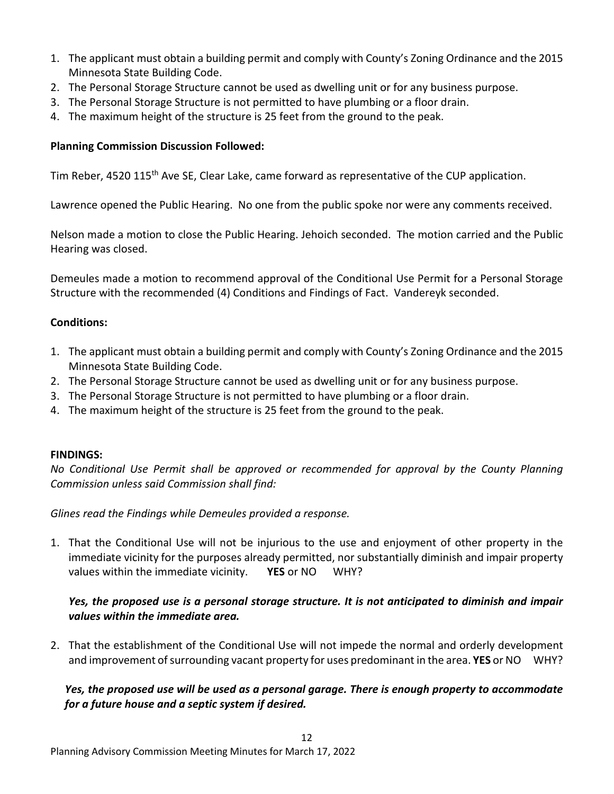- 1. The applicant must obtain a building permit and comply with County's Zoning Ordinance and the 2015 Minnesota State Building Code.
- 2. The Personal Storage Structure cannot be used as dwelling unit or for any business purpose.
- 3. The Personal Storage Structure is not permitted to have plumbing or a floor drain.
- 4. The maximum height of the structure is 25 feet from the ground to the peak.

## **Planning Commission Discussion Followed:**

Tim Reber, 4520 115<sup>th</sup> Ave SE, Clear Lake, came forward as representative of the CUP application.

Lawrence opened the Public Hearing. No one from the public spoke nor were any comments received.

Nelson made a motion to close the Public Hearing. Jehoich seconded. The motion carried and the Public Hearing was closed.

Demeules made a motion to recommend approval of the Conditional Use Permit for a Personal Storage Structure with the recommended (4) Conditions and Findings of Fact. Vandereyk seconded.

# **Conditions:**

- 1. The applicant must obtain a building permit and comply with County's Zoning Ordinance and the 2015 Minnesota State Building Code.
- 2. The Personal Storage Structure cannot be used as dwelling unit or for any business purpose.
- 3. The Personal Storage Structure is not permitted to have plumbing or a floor drain.
- 4. The maximum height of the structure is 25 feet from the ground to the peak.

## **FINDINGS:**

*No Conditional Use Permit shall be approved or recommended for approval by the County Planning Commission unless said Commission shall find:*

*Glines read the Findings while Demeules provided a response.*

1. That the Conditional Use will not be injurious to the use and enjoyment of other property in the immediate vicinity for the purposes already permitted, nor substantially diminish and impair property values within the immediate vicinity. **YES** or NO WHY?

# *Yes, the proposed use is a personal storage structure. It is not anticipated to diminish and impair values within the immediate area.*

2. That the establishment of the Conditional Use will not impede the normal and orderly development and improvement of surrounding vacant property for uses predominant in the area. **YES** or NO WHY?

*Yes, the proposed use will be used as a personal garage. There is enough property to accommodate for a future house and a septic system if desired.*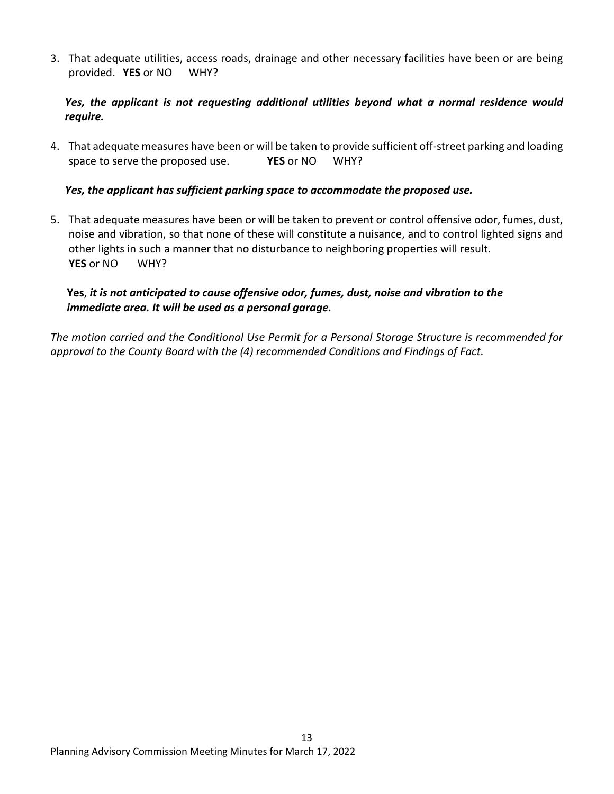3. That adequate utilities, access roads, drainage and other necessary facilities have been or are being provided. **YES** or NO WHY?

# *Yes, the applicant is not requesting additional utilities beyond what a normal residence would require.*

4. That adequate measures have been or will be taken to provide sufficient off-street parking and loading space to serve the proposed use. **YES** or NO WHY?

## *Yes, the applicant has sufficient parking space to accommodate the proposed use.*

5. That adequate measures have been or will be taken to prevent or control offensive odor, fumes, dust, noise and vibration, so that none of these will constitute a nuisance, and to control lighted signs and other lights in such a manner that no disturbance to neighboring properties will result. **YES** or NO WHY?

# **Yes**, *it is not anticipated to cause offensive odor, fumes, dust, noise and vibration to the immediate area. It will be used as a personal garage.*

*The motion carried and the Conditional Use Permit for a Personal Storage Structure is recommended for approval to the County Board with the (4) recommended Conditions and Findings of Fact.*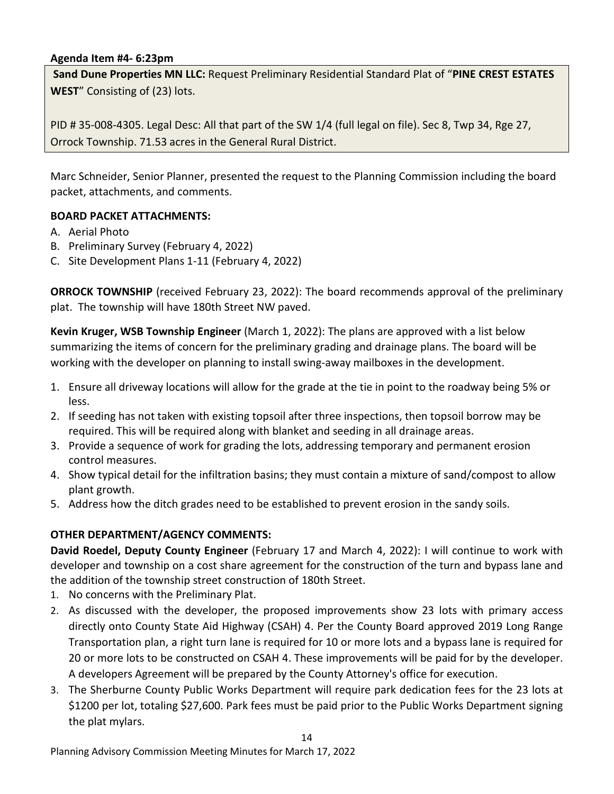#### **Agenda Item #4- 6:23pm**

**Sand Dune Properties MN LLC:** Request Preliminary Residential Standard Plat of "**PINE CREST ESTATES WEST**" Consisting of (23) lots.

PID # 35-008-4305. Legal Desc: All that part of the SW 1/4 (full legal on file). Sec 8, Twp 34, Rge 27, Orrock Township. 71.53 acres in the General Rural District.

Marc Schneider, Senior Planner, presented the request to the Planning Commission including the board packet, attachments, and comments.

### **BOARD PACKET ATTACHMENTS:**

- A. Aerial Photo
- B. Preliminary Survey (February 4, 2022)
- C. Site Development Plans 1-11 (February 4, 2022)

**ORROCK TOWNSHIP** (received February 23, 2022): The board recommends approval of the preliminary plat. The township will have 180th Street NW paved.

**Kevin Kruger, WSB Township Engineer** (March 1, 2022): The plans are approved with a list below summarizing the items of concern for the preliminary grading and drainage plans. The board will be working with the developer on planning to install swing-away mailboxes in the development.

- 1. Ensure all driveway locations will allow for the grade at the tie in point to the roadway being 5% or less.
- 2. If seeding has not taken with existing topsoil after three inspections, then topsoil borrow may be required. This will be required along with blanket and seeding in all drainage areas.
- 3. Provide a sequence of work for grading the lots, addressing temporary and permanent erosion control measures.
- 4. Show typical detail for the infiltration basins; they must contain a mixture of sand/compost to allow plant growth.
- 5. Address how the ditch grades need to be established to prevent erosion in the sandy soils.

## **OTHER DEPARTMENT/AGENCY COMMENTS:**

**David Roedel, Deputy County Engineer** (February 17 and March 4, 2022): I will continue to work with developer and township on a cost share agreement for the construction of the turn and bypass lane and the addition of the township street construction of 180th Street.

- 1. No concerns with the Preliminary Plat.
- 2. As discussed with the developer, the proposed improvements show 23 lots with primary access directly onto County State Aid Highway (CSAH) 4. Per the County Board approved 2019 Long Range Transportation plan, a right turn lane is required for 10 or more lots and a bypass lane is required for 20 or more lots to be constructed on CSAH 4. These improvements will be paid for by the developer. A developers Agreement will be prepared by the County Attorney's office for execution.
- 3. The Sherburne County Public Works Department will require park dedication fees for the 23 lots at \$1200 per lot, totaling \$27,600. Park fees must be paid prior to the Public Works Department signing the plat mylars.

14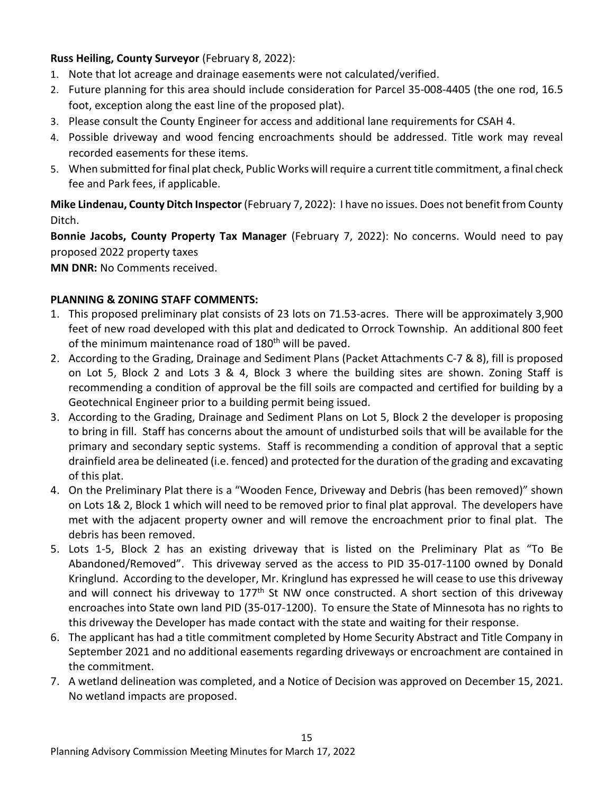## **Russ Heiling, County Surveyor** (February 8, 2022):

- 1. Note that lot acreage and drainage easements were not calculated/verified.
- 2. Future planning for this area should include consideration for Parcel 35-008-4405 (the one rod, 16.5 foot, exception along the east line of the proposed plat).
- 3. Please consult the County Engineer for access and additional lane requirements for CSAH 4.
- 4. Possible driveway and wood fencing encroachments should be addressed. Title work may reveal recorded easements for these items.
- 5. When submitted for final plat check, Public Works will require a current title commitment, a final check fee and Park fees, if applicable.

**Mike Lindenau, County Ditch Inspector** (February 7, 2022): I have no issues. Does not benefit from County Ditch.

**Bonnie Jacobs, County Property Tax Manager** (February 7, 2022): No concerns. Would need to pay proposed 2022 property taxes

**MN DNR:** No Comments received.

## **PLANNING & ZONING STAFF COMMENTS:**

- 1. This proposed preliminary plat consists of 23 lots on 71.53-acres. There will be approximately 3,900 feet of new road developed with this plat and dedicated to Orrock Township. An additional 800 feet of the minimum maintenance road of 180<sup>th</sup> will be paved.
- 2. According to the Grading, Drainage and Sediment Plans (Packet Attachments C-7 & 8), fill is proposed on Lot 5, Block 2 and Lots 3 & 4, Block 3 where the building sites are shown. Zoning Staff is recommending a condition of approval be the fill soils are compacted and certified for building by a Geotechnical Engineer prior to a building permit being issued.
- 3. According to the Grading, Drainage and Sediment Plans on Lot 5, Block 2 the developer is proposing to bring in fill. Staff has concerns about the amount of undisturbed soils that will be available for the primary and secondary septic systems. Staff is recommending a condition of approval that a septic drainfield area be delineated (i.e. fenced) and protected for the duration of the grading and excavating of this plat.
- 4. On the Preliminary Plat there is a "Wooden Fence, Driveway and Debris (has been removed)" shown on Lots 1& 2, Block 1 which will need to be removed prior to final plat approval. The developers have met with the adjacent property owner and will remove the encroachment prior to final plat. The debris has been removed.
- 5. Lots 1-5, Block 2 has an existing driveway that is listed on the Preliminary Plat as "To Be Abandoned/Removed". This driveway served as the access to PID 35-017-1100 owned by Donald Kringlund. According to the developer, Mr. Kringlund has expressed he will cease to use this driveway and will connect his driveway to  $177<sup>th</sup>$  St NW once constructed. A short section of this driveway encroaches into State own land PID (35-017-1200). To ensure the State of Minnesota has no rights to this driveway the Developer has made contact with the state and waiting for their response.
- 6. The applicant has had a title commitment completed by Home Security Abstract and Title Company in September 2021 and no additional easements regarding driveways or encroachment are contained in the commitment.
- 7. A wetland delineation was completed, and a Notice of Decision was approved on December 15, 2021. No wetland impacts are proposed.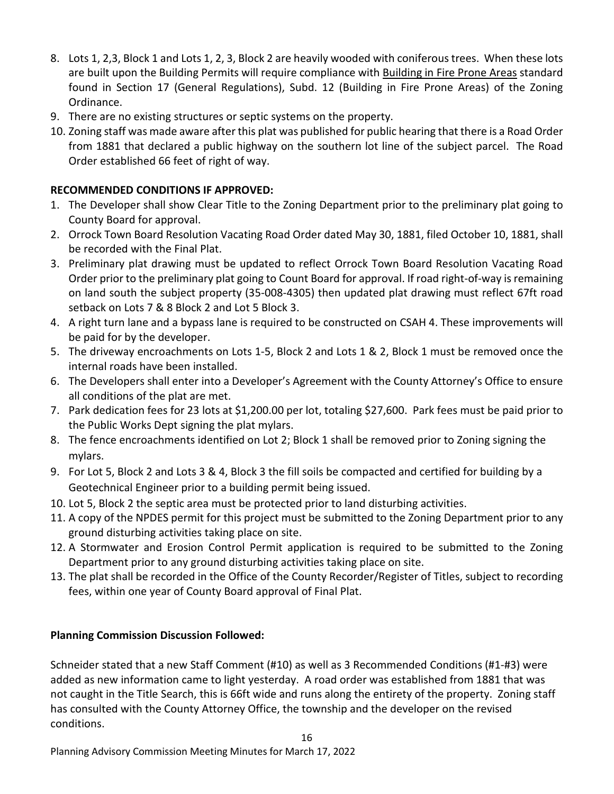- 8. Lots 1, 2,3, Block 1 and Lots 1, 2, 3, Block 2 are heavily wooded with coniferous trees. When these lots are built upon the Building Permits will require compliance with Building in Fire Prone Areas standard found in Section 17 (General Regulations), Subd. 12 (Building in Fire Prone Areas) of the Zoning Ordinance.
- 9. There are no existing structures or septic systems on the property.
- 10. Zoning staff was made aware after this plat was published for public hearing that there is a Road Order from 1881 that declared a public highway on the southern lot line of the subject parcel. The Road Order established 66 feet of right of way.

# **RECOMMENDED CONDITIONS IF APPROVED:**

- 1. The Developer shall show Clear Title to the Zoning Department prior to the preliminary plat going to County Board for approval.
- 2. Orrock Town Board Resolution Vacating Road Order dated May 30, 1881, filed October 10, 1881, shall be recorded with the Final Plat.
- 3. Preliminary plat drawing must be updated to reflect Orrock Town Board Resolution Vacating Road Order prior to the preliminary plat going to Count Board for approval. If road right-of-way is remaining on land south the subject property (35-008-4305) then updated plat drawing must reflect 67ft road setback on Lots 7 & 8 Block 2 and Lot 5 Block 3.
- 4. A right turn lane and a bypass lane is required to be constructed on CSAH 4. These improvements will be paid for by the developer.
- 5. The driveway encroachments on Lots 1-5, Block 2 and Lots 1 & 2, Block 1 must be removed once the internal roads have been installed.
- 6. The Developers shall enter into a Developer's Agreement with the County Attorney's Office to ensure all conditions of the plat are met.
- 7. Park dedication fees for 23 lots at \$1,200.00 per lot, totaling \$27,600. Park fees must be paid prior to the Public Works Dept signing the plat mylars.
- 8. The fence encroachments identified on Lot 2; Block 1 shall be removed prior to Zoning signing the mylars.
- 9. For Lot 5, Block 2 and Lots 3 & 4, Block 3 the fill soils be compacted and certified for building by a Geotechnical Engineer prior to a building permit being issued.
- 10. Lot 5, Block 2 the septic area must be protected prior to land disturbing activities.
- 11. A copy of the NPDES permit for this project must be submitted to the Zoning Department prior to any ground disturbing activities taking place on site.
- 12. A Stormwater and Erosion Control Permit application is required to be submitted to the Zoning Department prior to any ground disturbing activities taking place on site.
- 13. The plat shall be recorded in the Office of the County Recorder/Register of Titles, subject to recording fees, within one year of County Board approval of Final Plat.

## **Planning Commission Discussion Followed:**

Schneider stated that a new Staff Comment (#10) as well as 3 Recommended Conditions (#1-#3) were added as new information came to light yesterday. A road order was established from 1881 that was not caught in the Title Search, this is 66ft wide and runs along the entirety of the property. Zoning staff has consulted with the County Attorney Office, the township and the developer on the revised conditions.

16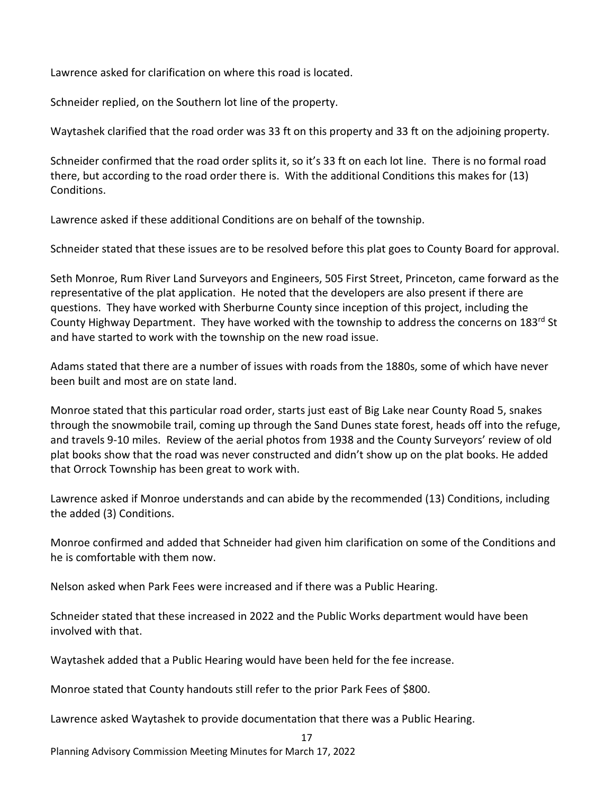Lawrence asked for clarification on where this road is located.

Schneider replied, on the Southern lot line of the property.

Waytashek clarified that the road order was 33 ft on this property and 33 ft on the adjoining property.

Schneider confirmed that the road order splits it, so it's 33 ft on each lot line. There is no formal road there, but according to the road order there is. With the additional Conditions this makes for (13) Conditions.

Lawrence asked if these additional Conditions are on behalf of the township.

Schneider stated that these issues are to be resolved before this plat goes to County Board for approval.

Seth Monroe, Rum River Land Surveyors and Engineers, 505 First Street, Princeton, came forward as the representative of the plat application. He noted that the developers are also present if there are questions. They have worked with Sherburne County since inception of this project, including the County Highway Department. They have worked with the township to address the concerns on 183<sup>rd</sup> St and have started to work with the township on the new road issue.

Adams stated that there are a number of issues with roads from the 1880s, some of which have never been built and most are on state land.

Monroe stated that this particular road order, starts just east of Big Lake near County Road 5, snakes through the snowmobile trail, coming up through the Sand Dunes state forest, heads off into the refuge, and travels 9-10 miles. Review of the aerial photos from 1938 and the County Surveyors' review of old plat books show that the road was never constructed and didn't show up on the plat books. He added that Orrock Township has been great to work with.

Lawrence asked if Monroe understands and can abide by the recommended (13) Conditions, including the added (3) Conditions.

Monroe confirmed and added that Schneider had given him clarification on some of the Conditions and he is comfortable with them now.

Nelson asked when Park Fees were increased and if there was a Public Hearing.

Schneider stated that these increased in 2022 and the Public Works department would have been involved with that.

Waytashek added that a Public Hearing would have been held for the fee increase.

Monroe stated that County handouts still refer to the prior Park Fees of \$800.

Lawrence asked Waytashek to provide documentation that there was a Public Hearing.

17

Planning Advisory Commission Meeting Minutes for March 17, 2022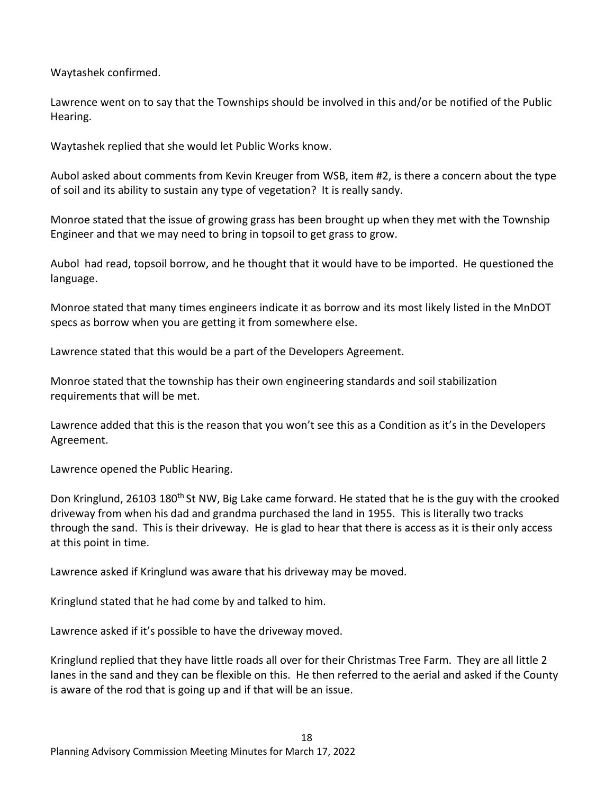Waytashek confirmed.

Lawrence went on to say that the Townships should be involved in this and/or be notified of the Public Hearing.

Waytashek replied that she would let Public Works know.

Aubol asked about comments from Kevin Kreuger from WSB, item #2, is there a concern about the type of soil and its ability to sustain any type of vegetation? It is really sandy.

Monroe stated that the issue of growing grass has been brought up when they met with the Township Engineer and that we may need to bring in topsoil to get grass to grow.

Aubol had read, topsoil borrow, and he thought that it would have to be imported. He questioned the language.

Monroe stated that many times engineers indicate it as borrow and its most likely listed in the MnDOT specs as borrow when you are getting it from somewhere else.

Lawrence stated that this would be a part of the Developers Agreement.

Monroe stated that the township has their own engineering standards and soil stabilization requirements that will be met.

Lawrence added that this is the reason that you won't see this as a Condition as it's in the Developers Agreement.

Lawrence opened the Public Hearing.

Don Kringlund, 26103 180<sup>th</sup> St NW, Big Lake came forward. He stated that he is the guy with the crooked driveway from when his dad and grandma purchased the land in 1955. This is literally two tracks through the sand. This is their driveway. He is glad to hear that there is access as it is their only access at this point in time.

Lawrence asked if Kringlund was aware that his driveway may be moved.

Kringlund stated that he had come by and talked to him.

Lawrence asked if it's possible to have the driveway moved.

Kringlund replied that they have little roads all over for their Christmas Tree Farm. They are all little 2 lanes in the sand and they can be flexible on this. He then referred to the aerial and asked if the County is aware of the rod that is going up and if that will be an issue.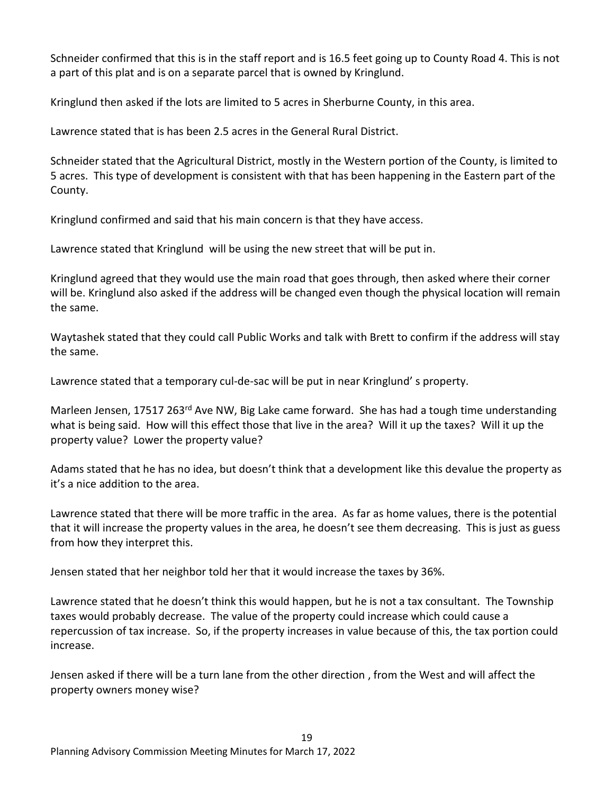Schneider confirmed that this is in the staff report and is 16.5 feet going up to County Road 4. This is not a part of this plat and is on a separate parcel that is owned by Kringlund.

Kringlund then asked if the lots are limited to 5 acres in Sherburne County, in this area.

Lawrence stated that is has been 2.5 acres in the General Rural District.

Schneider stated that the Agricultural District, mostly in the Western portion of the County, is limited to 5 acres. This type of development is consistent with that has been happening in the Eastern part of the County.

Kringlund confirmed and said that his main concern is that they have access.

Lawrence stated that Kringlund will be using the new street that will be put in.

Kringlund agreed that they would use the main road that goes through, then asked where their corner will be. Kringlund also asked if the address will be changed even though the physical location will remain the same.

Waytashek stated that they could call Public Works and talk with Brett to confirm if the address will stay the same.

Lawrence stated that a temporary cul-de-sac will be put in near Kringlund' s property.

Marleen Jensen, 17517 263<sup>rd</sup> Ave NW, Big Lake came forward. She has had a tough time understanding what is being said. How will this effect those that live in the area? Will it up the taxes? Will it up the property value? Lower the property value?

Adams stated that he has no idea, but doesn't think that a development like this devalue the property as it's a nice addition to the area.

Lawrence stated that there will be more traffic in the area. As far as home values, there is the potential that it will increase the property values in the area, he doesn't see them decreasing. This is just as guess from how they interpret this.

Jensen stated that her neighbor told her that it would increase the taxes by 36%.

Lawrence stated that he doesn't think this would happen, but he is not a tax consultant. The Township taxes would probably decrease. The value of the property could increase which could cause a repercussion of tax increase. So, if the property increases in value because of this, the tax portion could increase.

Jensen asked if there will be a turn lane from the other direction , from the West and will affect the property owners money wise?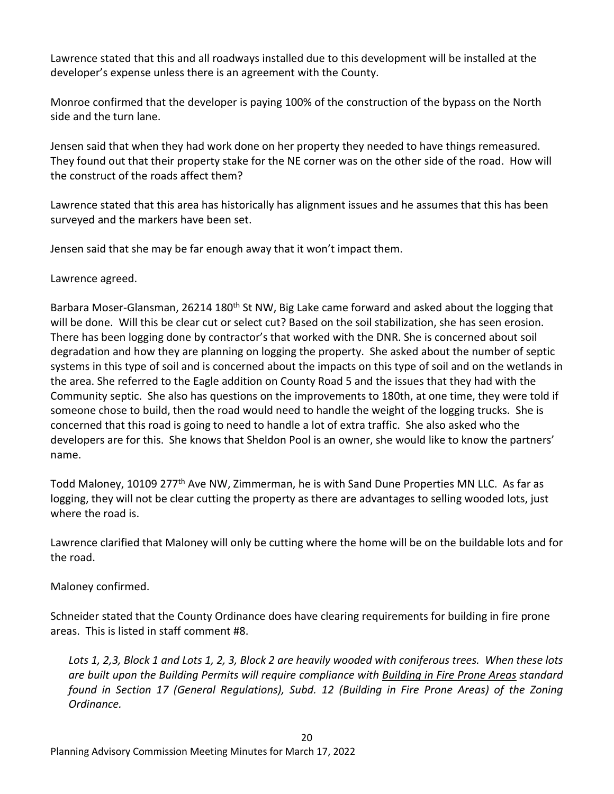Lawrence stated that this and all roadways installed due to this development will be installed at the developer's expense unless there is an agreement with the County.

Monroe confirmed that the developer is paying 100% of the construction of the bypass on the North side and the turn lane.

Jensen said that when they had work done on her property they needed to have things remeasured. They found out that their property stake for the NE corner was on the other side of the road. How will the construct of the roads affect them?

Lawrence stated that this area has historically has alignment issues and he assumes that this has been surveyed and the markers have been set.

Jensen said that she may be far enough away that it won't impact them.

Lawrence agreed.

Barbara Moser-Glansman, 26214 180<sup>th</sup> St NW, Big Lake came forward and asked about the logging that will be done. Will this be clear cut or select cut? Based on the soil stabilization, she has seen erosion. There has been logging done by contractor's that worked with the DNR. She is concerned about soil degradation and how they are planning on logging the property. She asked about the number of septic systems in this type of soil and is concerned about the impacts on this type of soil and on the wetlands in the area. She referred to the Eagle addition on County Road 5 and the issues that they had with the Community septic. She also has questions on the improvements to 180th, at one time, they were told if someone chose to build, then the road would need to handle the weight of the logging trucks. She is concerned that this road is going to need to handle a lot of extra traffic. She also asked who the developers are for this. She knows that Sheldon Pool is an owner, she would like to know the partners' name.

Todd Maloney, 10109 277<sup>th</sup> Ave NW, Zimmerman, he is with Sand Dune Properties MN LLC. As far as logging, they will not be clear cutting the property as there are advantages to selling wooded lots, just where the road is.

Lawrence clarified that Maloney will only be cutting where the home will be on the buildable lots and for the road.

Maloney confirmed.

Schneider stated that the County Ordinance does have clearing requirements for building in fire prone areas. This is listed in staff comment #8.

*Lots 1, 2,3, Block 1 and Lots 1, 2, 3, Block 2 are heavily wooded with coniferous trees. When these lots are built upon the Building Permits will require compliance with Building in Fire Prone Areas standard found in Section 17 (General Regulations), Subd. 12 (Building in Fire Prone Areas) of the Zoning Ordinance.*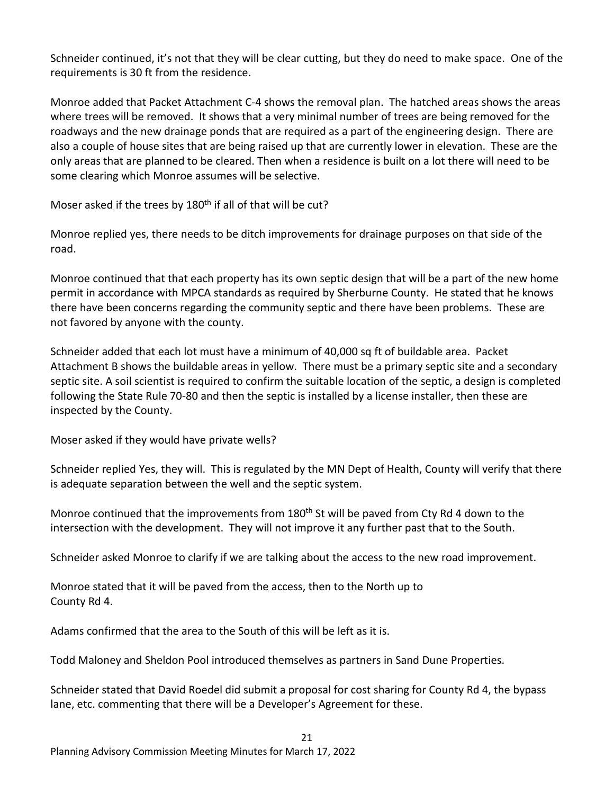Schneider continued, it's not that they will be clear cutting, but they do need to make space. One of the requirements is 30 ft from the residence.

Monroe added that Packet Attachment C-4 shows the removal plan. The hatched areas shows the areas where trees will be removed. It shows that a very minimal number of trees are being removed for the roadways and the new drainage ponds that are required as a part of the engineering design. There are also a couple of house sites that are being raised up that are currently lower in elevation. These are the only areas that are planned to be cleared. Then when a residence is built on a lot there will need to be some clearing which Monroe assumes will be selective.

Moser asked if the trees by 180<sup>th</sup> if all of that will be cut?

Monroe replied yes, there needs to be ditch improvements for drainage purposes on that side of the road.

Monroe continued that that each property has its own septic design that will be a part of the new home permit in accordance with MPCA standards as required by Sherburne County. He stated that he knows there have been concerns regarding the community septic and there have been problems. These are not favored by anyone with the county.

Schneider added that each lot must have a minimum of 40,000 sq ft of buildable area. Packet Attachment B shows the buildable areas in yellow. There must be a primary septic site and a secondary septic site. A soil scientist is required to confirm the suitable location of the septic, a design is completed following the State Rule 70-80 and then the septic is installed by a license installer, then these are inspected by the County.

Moser asked if they would have private wells?

Schneider replied Yes, they will. This is regulated by the MN Dept of Health, County will verify that there is adequate separation between the well and the septic system.

Monroe continued that the improvements from 180<sup>th</sup> St will be paved from Cty Rd 4 down to the intersection with the development. They will not improve it any further past that to the South.

Schneider asked Monroe to clarify if we are talking about the access to the new road improvement.

Monroe stated that it will be paved from the access, then to the North up to County Rd 4.

Adams confirmed that the area to the South of this will be left as it is.

Todd Maloney and Sheldon Pool introduced themselves as partners in Sand Dune Properties.

Schneider stated that David Roedel did submit a proposal for cost sharing for County Rd 4, the bypass lane, etc. commenting that there will be a Developer's Agreement for these.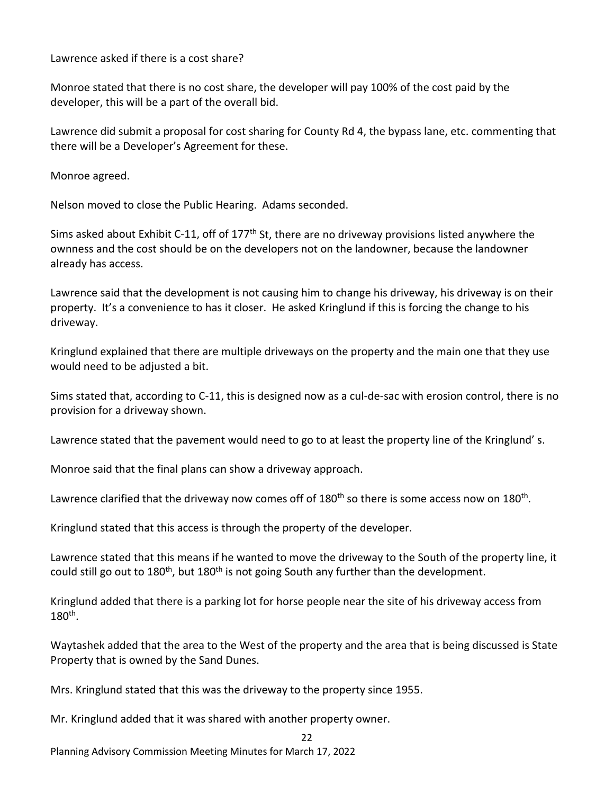Lawrence asked if there is a cost share?

Monroe stated that there is no cost share, the developer will pay 100% of the cost paid by the developer, this will be a part of the overall bid.

Lawrence did submit a proposal for cost sharing for County Rd 4, the bypass lane, etc. commenting that there will be a Developer's Agreement for these.

Monroe agreed.

Nelson moved to close the Public Hearing. Adams seconded.

Sims asked about Exhibit C-11, off of 177<sup>th</sup> St, there are no driveway provisions listed anywhere the ownness and the cost should be on the developers not on the landowner, because the landowner already has access.

Lawrence said that the development is not causing him to change his driveway, his driveway is on their property. It's a convenience to has it closer. He asked Kringlund if this is forcing the change to his driveway.

Kringlund explained that there are multiple driveways on the property and the main one that they use would need to be adjusted a bit.

Sims stated that, according to C-11, this is designed now as a cul-de-sac with erosion control, there is no provision for a driveway shown.

Lawrence stated that the pavement would need to go to at least the property line of the Kringlund' s.

Monroe said that the final plans can show a driveway approach.

Lawrence clarified that the driveway now comes off of 180<sup>th</sup> so there is some access now on 180<sup>th</sup>.

Kringlund stated that this access is through the property of the developer.

Lawrence stated that this means if he wanted to move the driveway to the South of the property line, it could still go out to 180<sup>th</sup>, but 180<sup>th</sup> is not going South any further than the development.

Kringlund added that there is a parking lot for horse people near the site of his driveway access from 180th.

Waytashek added that the area to the West of the property and the area that is being discussed is State Property that is owned by the Sand Dunes.

 $22$ 

Mrs. Kringlund stated that this was the driveway to the property since 1955.

Mr. Kringlund added that it was shared with another property owner.

Planning Advisory Commission Meeting Minutes for March 17, 2022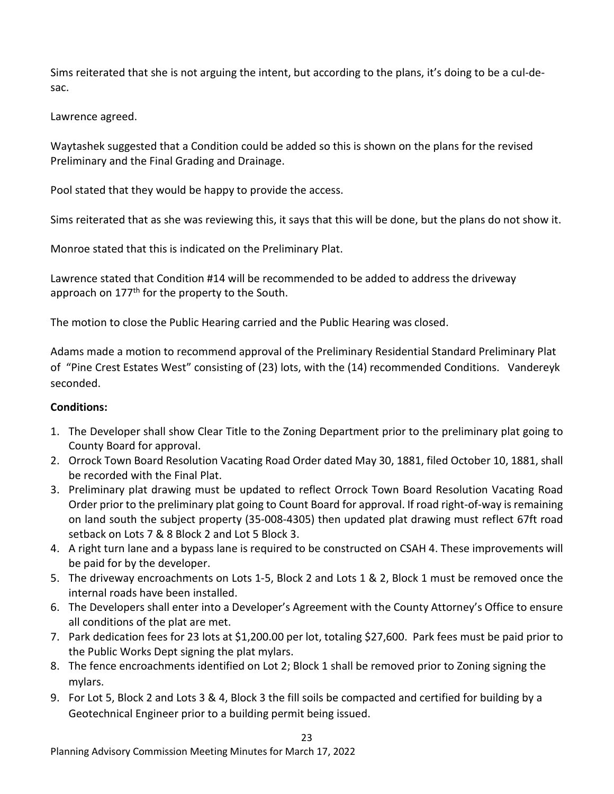Sims reiterated that she is not arguing the intent, but according to the plans, it's doing to be a cul-desac.

Lawrence agreed.

Waytashek suggested that a Condition could be added so this is shown on the plans for the revised Preliminary and the Final Grading and Drainage.

Pool stated that they would be happy to provide the access.

Sims reiterated that as she was reviewing this, it says that this will be done, but the plans do not show it.

Monroe stated that this is indicated on the Preliminary Plat.

Lawrence stated that Condition #14 will be recommended to be added to address the driveway approach on  $177<sup>th</sup>$  for the property to the South.

The motion to close the Public Hearing carried and the Public Hearing was closed.

Adams made a motion to recommend approval of the Preliminary Residential Standard Preliminary Plat of "Pine Crest Estates West" consisting of (23) lots, with the (14) recommended Conditions. Vandereyk seconded.

# **Conditions:**

- 1. The Developer shall show Clear Title to the Zoning Department prior to the preliminary plat going to County Board for approval.
- 2. Orrock Town Board Resolution Vacating Road Order dated May 30, 1881, filed October 10, 1881, shall be recorded with the Final Plat.
- 3. Preliminary plat drawing must be updated to reflect Orrock Town Board Resolution Vacating Road Order prior to the preliminary plat going to Count Board for approval. If road right-of-way is remaining on land south the subject property (35-008-4305) then updated plat drawing must reflect 67ft road setback on Lots 7 & 8 Block 2 and Lot 5 Block 3.
- 4. A right turn lane and a bypass lane is required to be constructed on CSAH 4. These improvements will be paid for by the developer.
- 5. The driveway encroachments on Lots 1-5, Block 2 and Lots 1 & 2, Block 1 must be removed once the internal roads have been installed.
- 6. The Developers shall enter into a Developer's Agreement with the County Attorney's Office to ensure all conditions of the plat are met.
- 7. Park dedication fees for 23 lots at \$1,200.00 per lot, totaling \$27,600. Park fees must be paid prior to the Public Works Dept signing the plat mylars.
- 8. The fence encroachments identified on Lot 2; Block 1 shall be removed prior to Zoning signing the mylars.
- 9. For Lot 5, Block 2 and Lots 3 & 4, Block 3 the fill soils be compacted and certified for building by a Geotechnical Engineer prior to a building permit being issued.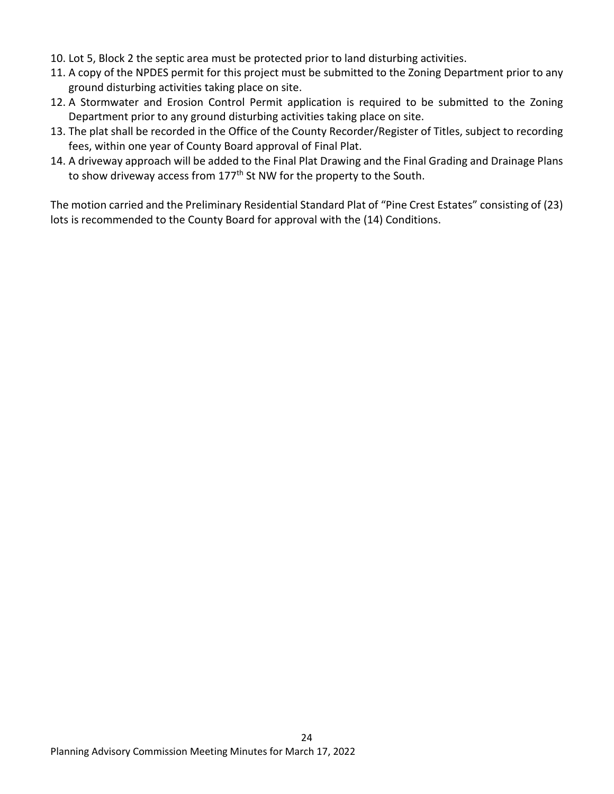- 10. Lot 5, Block 2 the septic area must be protected prior to land disturbing activities.
- 11. A copy of the NPDES permit for this project must be submitted to the Zoning Department prior to any ground disturbing activities taking place on site.
- 12. A Stormwater and Erosion Control Permit application is required to be submitted to the Zoning Department prior to any ground disturbing activities taking place on site.
- 13. The plat shall be recorded in the Office of the County Recorder/Register of Titles, subject to recording fees, within one year of County Board approval of Final Plat.
- 14. A driveway approach will be added to the Final Plat Drawing and the Final Grading and Drainage Plans to show driveway access from 177<sup>th</sup> St NW for the property to the South.

The motion carried and the Preliminary Residential Standard Plat of "Pine Crest Estates" consisting of (23) lots is recommended to the County Board for approval with the (14) Conditions.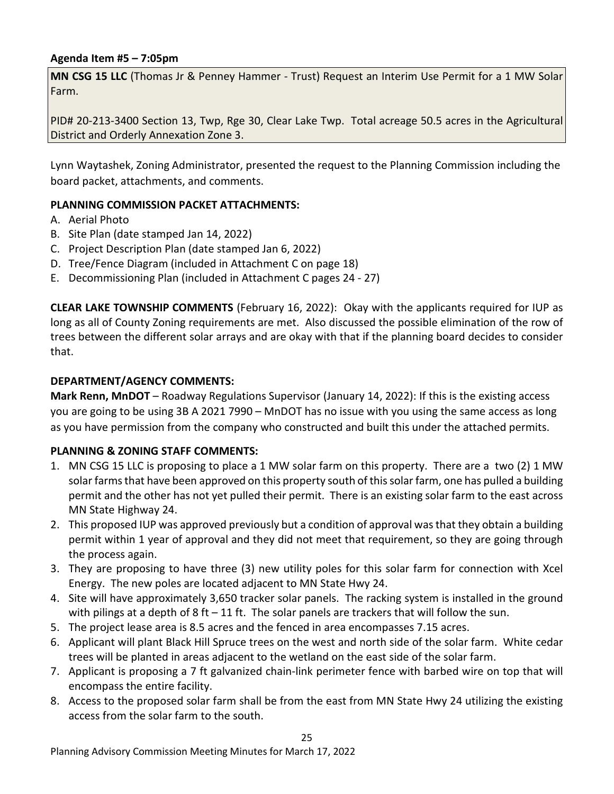### **Agenda Item #5 – 7:05pm**

**MN CSG 15 LLC** (Thomas Jr & Penney Hammer - Trust) Request an Interim Use Permit for a 1 MW Solar Farm.

PID# 20-213-3400 Section 13, Twp, Rge 30, Clear Lake Twp. Total acreage 50.5 acres in the Agricultural District and Orderly Annexation Zone 3.

Lynn Waytashek, Zoning Administrator, presented the request to the Planning Commission including the board packet, attachments, and comments.

### **PLANNING COMMISSION PACKET ATTACHMENTS:**

- A. Aerial Photo
- B. Site Plan (date stamped Jan 14, 2022)
- C. Project Description Plan (date stamped Jan 6, 2022)
- D. Tree/Fence Diagram (included in Attachment C on page 18)
- E. Decommissioning Plan (included in Attachment C pages 24 27)

**CLEAR LAKE TOWNSHIP COMMENTS** (February 16, 2022): Okay with the applicants required for IUP as long as all of County Zoning requirements are met. Also discussed the possible elimination of the row of trees between the different solar arrays and are okay with that if the planning board decides to consider that.

#### **DEPARTMENT/AGENCY COMMENTS:**

**Mark Renn, MnDOT** – Roadway Regulations Supervisor (January 14, 2022): If this is the existing access you are going to be using 3B A 2021 7990 – MnDOT has no issue with you using the same access as long as you have permission from the company who constructed and built this under the attached permits.

#### **PLANNING & ZONING STAFF COMMENTS:**

- 1. MN CSG 15 LLC is proposing to place a 1 MW solar farm on this property. There are a two (2) 1 MW solar farms that have been approved on this property south of this solar farm, one has pulled a building permit and the other has not yet pulled their permit. There is an existing solar farm to the east across MN State Highway 24.
- 2. This proposed IUP was approved previously but a condition of approval was that they obtain a building permit within 1 year of approval and they did not meet that requirement, so they are going through the process again.
- 3. They are proposing to have three (3) new utility poles for this solar farm for connection with Xcel Energy. The new poles are located adjacent to MN State Hwy 24.
- 4. Site will have approximately 3,650 tracker solar panels. The racking system is installed in the ground with pilings at a depth of 8 ft  $-11$  ft. The solar panels are trackers that will follow the sun.
- 5. The project lease area is 8.5 acres and the fenced in area encompasses 7.15 acres.
- 6. Applicant will plant Black Hill Spruce trees on the west and north side of the solar farm. White cedar trees will be planted in areas adjacent to the wetland on the east side of the solar farm.
- 7. Applicant is proposing a 7 ft galvanized chain-link perimeter fence with barbed wire on top that will encompass the entire facility.
- 8. Access to the proposed solar farm shall be from the east from MN State Hwy 24 utilizing the existing access from the solar farm to the south.

25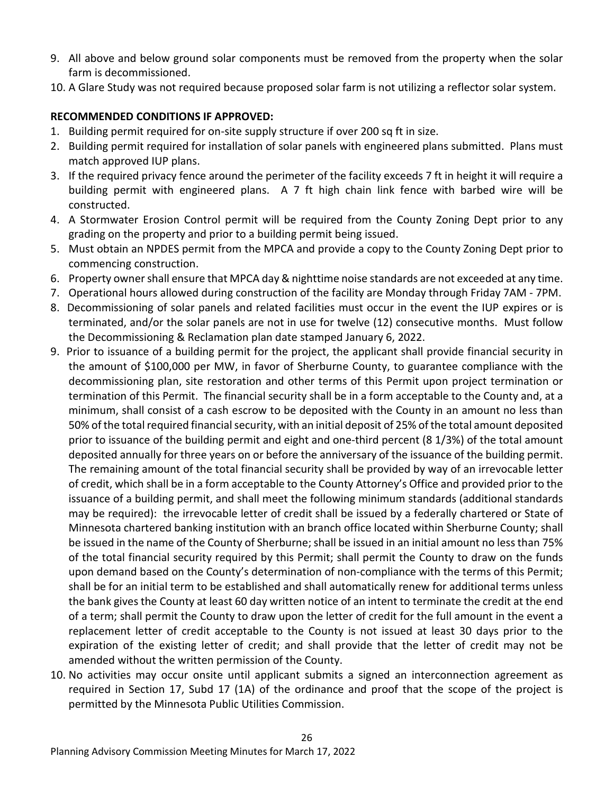- 9. All above and below ground solar components must be removed from the property when the solar farm is decommissioned.
- 10. A Glare Study was not required because proposed solar farm is not utilizing a reflector solar system.

# **RECOMMENDED CONDITIONS IF APPROVED:**

- 1. Building permit required for on-site supply structure if over 200 sq ft in size.
- 2. Building permit required for installation of solar panels with engineered plans submitted. Plans must match approved IUP plans.
- 3. If the required privacy fence around the perimeter of the facility exceeds 7 ft in height it will require a building permit with engineered plans. A 7 ft high chain link fence with barbed wire will be constructed.
- 4. A Stormwater Erosion Control permit will be required from the County Zoning Dept prior to any grading on the property and prior to a building permit being issued.
- 5. Must obtain an NPDES permit from the MPCA and provide a copy to the County Zoning Dept prior to commencing construction.
- 6. Property owner shall ensure that MPCA day & nighttime noise standards are not exceeded at any time.
- 7. Operational hours allowed during construction of the facility are Monday through Friday 7AM 7PM.
- 8. Decommissioning of solar panels and related facilities must occur in the event the IUP expires or is terminated, and/or the solar panels are not in use for twelve (12) consecutive months. Must follow the Decommissioning & Reclamation plan date stamped January 6, 2022.
- 9. Prior to issuance of a building permit for the project, the applicant shall provide financial security in the amount of \$100,000 per MW, in favor of Sherburne County, to guarantee compliance with the decommissioning plan, site restoration and other terms of this Permit upon project termination or termination of this Permit. The financial security shall be in a form acceptable to the County and, at a minimum, shall consist of a cash escrow to be deposited with the County in an amount no less than 50% of the total required financial security, with an initial deposit of 25% of the total amount deposited prior to issuance of the building permit and eight and one-third percent (8 1/3%) of the total amount deposited annually for three years on or before the anniversary of the issuance of the building permit. The remaining amount of the total financial security shall be provided by way of an irrevocable letter of credit, which shall be in a form acceptable to the County Attorney's Office and provided prior to the issuance of a building permit, and shall meet the following minimum standards (additional standards may be required): the irrevocable letter of credit shall be issued by a federally chartered or State of Minnesota chartered banking institution with an branch office located within Sherburne County; shall be issued in the name of the County of Sherburne; shall be issued in an initial amount no less than 75% of the total financial security required by this Permit; shall permit the County to draw on the funds upon demand based on the County's determination of non-compliance with the terms of this Permit; shall be for an initial term to be established and shall automatically renew for additional terms unless the bank gives the County at least 60 day written notice of an intent to terminate the credit at the end of a term; shall permit the County to draw upon the letter of credit for the full amount in the event a replacement letter of credit acceptable to the County is not issued at least 30 days prior to the expiration of the existing letter of credit; and shall provide that the letter of credit may not be amended without the written permission of the County.
- 10. No activities may occur onsite until applicant submits a signed an interconnection agreement as required in Section 17, Subd 17 (1A) of the ordinance and proof that the scope of the project is permitted by the Minnesota Public Utilities Commission.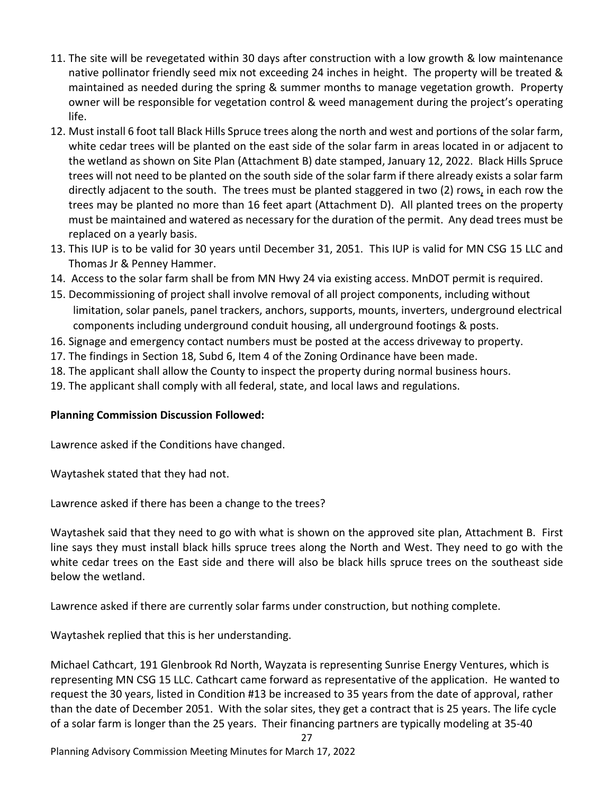- 11. The site will be revegetated within 30 days after construction with a low growth & low maintenance native pollinator friendly seed mix not exceeding 24 inches in height. The property will be treated & maintained as needed during the spring & summer months to manage vegetation growth. Property owner will be responsible for vegetation control & weed management during the project's operating life.
- 12. Must install 6 foot tall Black Hills Spruce trees along the north and west and portions of the solar farm, white cedar trees will be planted on the east side of the solar farm in areas located in or adjacent to the wetland as shown on Site Plan (Attachment B) date stamped, January 12, 2022. Black Hills Spruce trees will not need to be planted on the south side of the solar farm if there already exists a solar farm directly adjacent to the south. The trees must be planted staggered in two (2) rows, in each row the trees may be planted no more than 16 feet apart (Attachment D). All planted trees on the property must be maintained and watered as necessary for the duration of the permit. Any dead trees must be replaced on a yearly basis.
- 13. This IUP is to be valid for 30 years until December 31, 2051. This IUP is valid for MN CSG 15 LLC and Thomas Jr & Penney Hammer.
- 14. Access to the solar farm shall be from MN Hwy 24 via existing access. MnDOT permit is required.
- 15. Decommissioning of project shall involve removal of all project components, including without limitation, solar panels, panel trackers, anchors, supports, mounts, inverters, underground electrical components including underground conduit housing, all underground footings & posts.
- 16. Signage and emergency contact numbers must be posted at the access driveway to property.
- 17. The findings in Section 18, Subd 6, Item 4 of the Zoning Ordinance have been made.
- 18. The applicant shall allow the County to inspect the property during normal business hours.
- 19. The applicant shall comply with all federal, state, and local laws and regulations.

## **Planning Commission Discussion Followed:**

Lawrence asked if the Conditions have changed.

Waytashek stated that they had not.

Lawrence asked if there has been a change to the trees?

Waytashek said that they need to go with what is shown on the approved site plan, Attachment B. First line says they must install black hills spruce trees along the North and West. They need to go with the white cedar trees on the East side and there will also be black hills spruce trees on the southeast side below the wetland.

Lawrence asked if there are currently solar farms under construction, but nothing complete.

Waytashek replied that this is her understanding.

Michael Cathcart, 191 Glenbrook Rd North, Wayzata is representing Sunrise Energy Ventures, which is representing MN CSG 15 LLC. Cathcart came forward as representative of the application. He wanted to request the 30 years, listed in Condition #13 be increased to 35 years from the date of approval, rather than the date of December 2051. With the solar sites, they get a contract that is 25 years. The life cycle of a solar farm is longer than the 25 years. Their financing partners are typically modeling at 35-40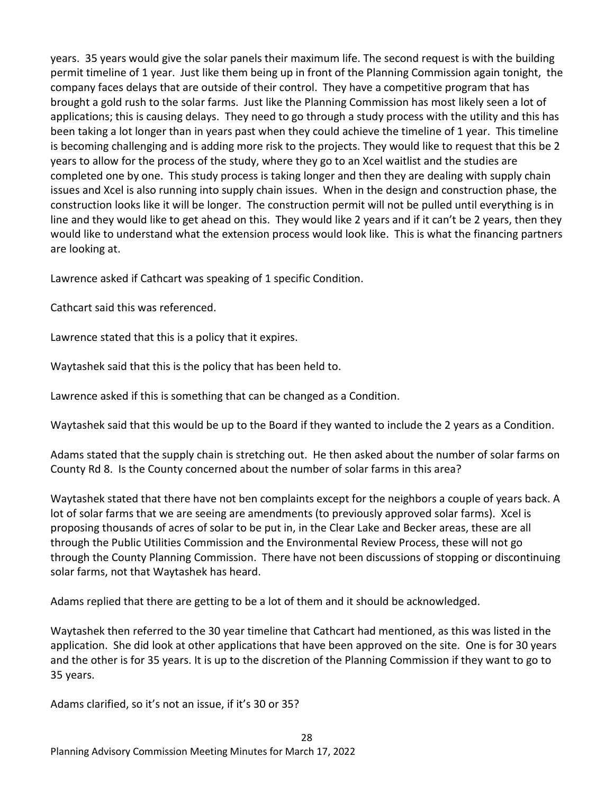years. 35 years would give the solar panels their maximum life. The second request is with the building permit timeline of 1 year. Just like them being up in front of the Planning Commission again tonight, the company faces delays that are outside of their control. They have a competitive program that has brought a gold rush to the solar farms. Just like the Planning Commission has most likely seen a lot of applications; this is causing delays. They need to go through a study process with the utility and this has been taking a lot longer than in years past when they could achieve the timeline of 1 year. This timeline is becoming challenging and is adding more risk to the projects. They would like to request that this be 2 years to allow for the process of the study, where they go to an Xcel waitlist and the studies are completed one by one. This study process is taking longer and then they are dealing with supply chain issues and Xcel is also running into supply chain issues. When in the design and construction phase, the construction looks like it will be longer. The construction permit will not be pulled until everything is in line and they would like to get ahead on this. They would like 2 years and if it can't be 2 years, then they would like to understand what the extension process would look like. This is what the financing partners are looking at.

Lawrence asked if Cathcart was speaking of 1 specific Condition.

Cathcart said this was referenced.

Lawrence stated that this is a policy that it expires.

Waytashek said that this is the policy that has been held to.

Lawrence asked if this is something that can be changed as a Condition.

Waytashek said that this would be up to the Board if they wanted to include the 2 years as a Condition.

Adams stated that the supply chain is stretching out. He then asked about the number of solar farms on County Rd 8. Is the County concerned about the number of solar farms in this area?

Waytashek stated that there have not ben complaints except for the neighbors a couple of years back. A lot of solar farms that we are seeing are amendments (to previously approved solar farms). Xcel is proposing thousands of acres of solar to be put in, in the Clear Lake and Becker areas, these are all through the Public Utilities Commission and the Environmental Review Process, these will not go through the County Planning Commission. There have not been discussions of stopping or discontinuing solar farms, not that Waytashek has heard.

Adams replied that there are getting to be a lot of them and it should be acknowledged.

Waytashek then referred to the 30 year timeline that Cathcart had mentioned, as this was listed in the application. She did look at other applications that have been approved on the site. One is for 30 years and the other is for 35 years. It is up to the discretion of the Planning Commission if they want to go to 35 years.

Adams clarified, so it's not an issue, if it's 30 or 35?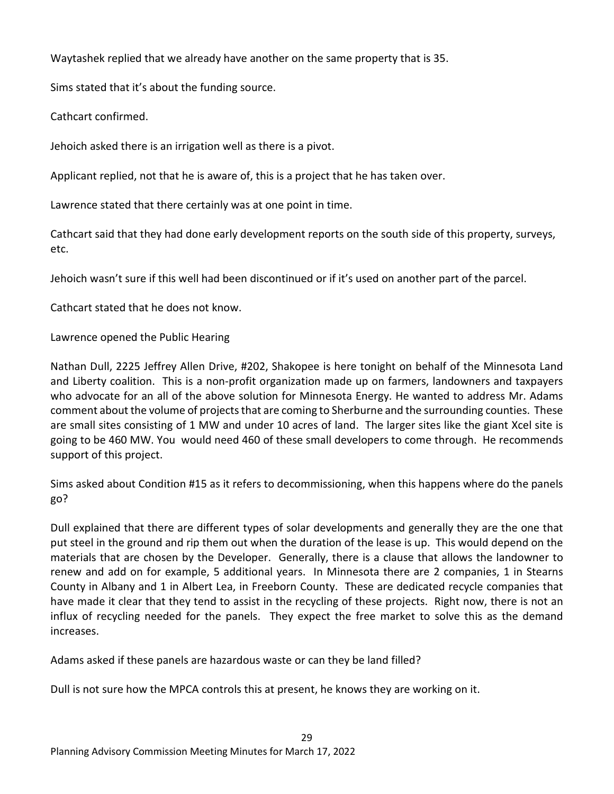Waytashek replied that we already have another on the same property that is 35.

Sims stated that it's about the funding source.

Cathcart confirmed.

Jehoich asked there is an irrigation well as there is a pivot.

Applicant replied, not that he is aware of, this is a project that he has taken over.

Lawrence stated that there certainly was at one point in time.

Cathcart said that they had done early development reports on the south side of this property, surveys, etc.

Jehoich wasn't sure if this well had been discontinued or if it's used on another part of the parcel.

Cathcart stated that he does not know.

Lawrence opened the Public Hearing

Nathan Dull, 2225 Jeffrey Allen Drive, #202, Shakopee is here tonight on behalf of the Minnesota Land and Liberty coalition. This is a non-profit organization made up on farmers, landowners and taxpayers who advocate for an all of the above solution for Minnesota Energy. He wanted to address Mr. Adams comment about the volume of projects that are coming to Sherburne and the surrounding counties. These are small sites consisting of 1 MW and under 10 acres of land. The larger sites like the giant Xcel site is going to be 460 MW. You would need 460 of these small developers to come through. He recommends support of this project.

Sims asked about Condition #15 as it refers to decommissioning, when this happens where do the panels go?

Dull explained that there are different types of solar developments and generally they are the one that put steel in the ground and rip them out when the duration of the lease is up. This would depend on the materials that are chosen by the Developer. Generally, there is a clause that allows the landowner to renew and add on for example, 5 additional years. In Minnesota there are 2 companies, 1 in Stearns County in Albany and 1 in Albert Lea, in Freeborn County. These are dedicated recycle companies that have made it clear that they tend to assist in the recycling of these projects. Right now, there is not an influx of recycling needed for the panels. They expect the free market to solve this as the demand increases.

Adams asked if these panels are hazardous waste or can they be land filled?

Dull is not sure how the MPCA controls this at present, he knows they are working on it.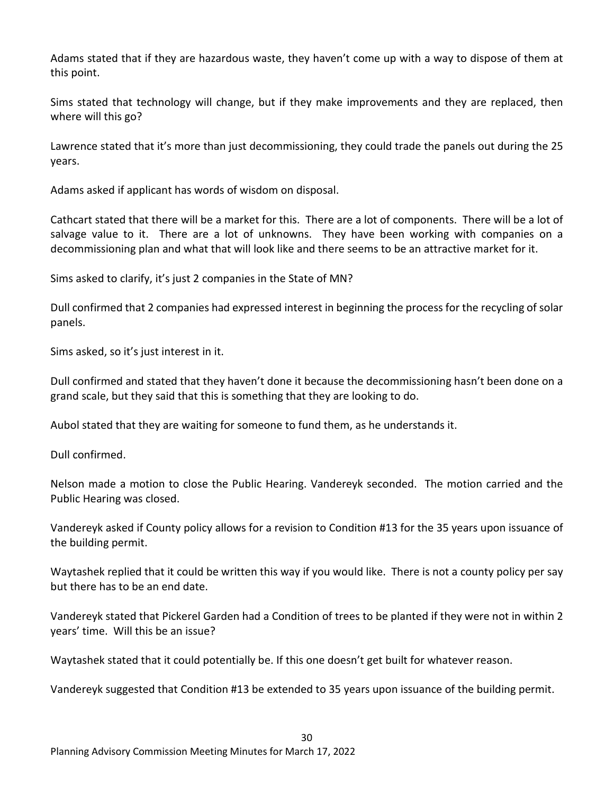Adams stated that if they are hazardous waste, they haven't come up with a way to dispose of them at this point.

Sims stated that technology will change, but if they make improvements and they are replaced, then where will this go?

Lawrence stated that it's more than just decommissioning, they could trade the panels out during the 25 years.

Adams asked if applicant has words of wisdom on disposal.

Cathcart stated that there will be a market for this. There are a lot of components. There will be a lot of salvage value to it. There are a lot of unknowns. They have been working with companies on a decommissioning plan and what that will look like and there seems to be an attractive market for it.

Sims asked to clarify, it's just 2 companies in the State of MN?

Dull confirmed that 2 companies had expressed interest in beginning the process for the recycling of solar panels.

Sims asked, so it's just interest in it.

Dull confirmed and stated that they haven't done it because the decommissioning hasn't been done on a grand scale, but they said that this is something that they are looking to do.

Aubol stated that they are waiting for someone to fund them, as he understands it.

Dull confirmed.

Nelson made a motion to close the Public Hearing. Vandereyk seconded. The motion carried and the Public Hearing was closed.

Vandereyk asked if County policy allows for a revision to Condition #13 for the 35 years upon issuance of the building permit.

Waytashek replied that it could be written this way if you would like. There is not a county policy per say but there has to be an end date.

Vandereyk stated that Pickerel Garden had a Condition of trees to be planted if they were not in within 2 years' time. Will this be an issue?

Waytashek stated that it could potentially be. If this one doesn't get built for whatever reason.

Vandereyk suggested that Condition #13 be extended to 35 years upon issuance of the building permit.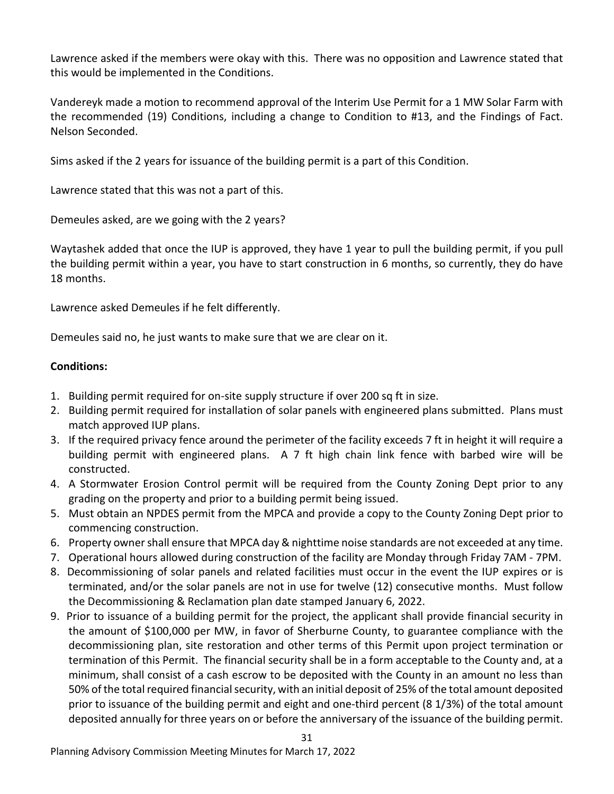Lawrence asked if the members were okay with this. There was no opposition and Lawrence stated that this would be implemented in the Conditions.

Vandereyk made a motion to recommend approval of the Interim Use Permit for a 1 MW Solar Farm with the recommended (19) Conditions, including a change to Condition to #13, and the Findings of Fact. Nelson Seconded.

Sims asked if the 2 years for issuance of the building permit is a part of this Condition.

Lawrence stated that this was not a part of this.

Demeules asked, are we going with the 2 years?

Waytashek added that once the IUP is approved, they have 1 year to pull the building permit, if you pull the building permit within a year, you have to start construction in 6 months, so currently, they do have 18 months.

Lawrence asked Demeules if he felt differently.

Demeules said no, he just wants to make sure that we are clear on it.

### **Conditions:**

- 1. Building permit required for on-site supply structure if over 200 sq ft in size.
- 2. Building permit required for installation of solar panels with engineered plans submitted. Plans must match approved IUP plans.
- 3. If the required privacy fence around the perimeter of the facility exceeds 7 ft in height it will require a building permit with engineered plans. A 7 ft high chain link fence with barbed wire will be constructed.
- 4. A Stormwater Erosion Control permit will be required from the County Zoning Dept prior to any grading on the property and prior to a building permit being issued.
- 5. Must obtain an NPDES permit from the MPCA and provide a copy to the County Zoning Dept prior to commencing construction.
- 6. Property owner shall ensure that MPCA day & nighttime noise standards are not exceeded at any time.
- 7. Operational hours allowed during construction of the facility are Monday through Friday 7AM 7PM.
- 8. Decommissioning of solar panels and related facilities must occur in the event the IUP expires or is terminated, and/or the solar panels are not in use for twelve (12) consecutive months. Must follow the Decommissioning & Reclamation plan date stamped January 6, 2022.
- 9. Prior to issuance of a building permit for the project, the applicant shall provide financial security in the amount of \$100,000 per MW, in favor of Sherburne County, to guarantee compliance with the decommissioning plan, site restoration and other terms of this Permit upon project termination or termination of this Permit. The financial security shall be in a form acceptable to the County and, at a minimum, shall consist of a cash escrow to be deposited with the County in an amount no less than 50% of the total required financial security, with an initial deposit of 25% of the total amount deposited prior to issuance of the building permit and eight and one-third percent (8 1/3%) of the total amount deposited annually for three years on or before the anniversary of the issuance of the building permit.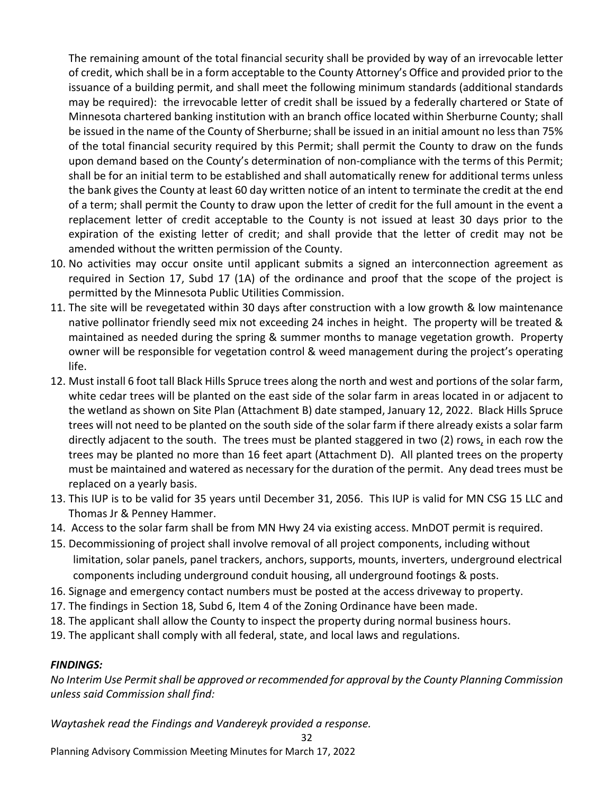The remaining amount of the total financial security shall be provided by way of an irrevocable letter of credit, which shall be in a form acceptable to the County Attorney's Office and provided prior to the issuance of a building permit, and shall meet the following minimum standards (additional standards may be required): the irrevocable letter of credit shall be issued by a federally chartered or State of Minnesota chartered banking institution with an branch office located within Sherburne County; shall be issued in the name of the County of Sherburne; shall be issued in an initial amount no less than 75% of the total financial security required by this Permit; shall permit the County to draw on the funds upon demand based on the County's determination of non-compliance with the terms of this Permit; shall be for an initial term to be established and shall automatically renew for additional terms unless the bank gives the County at least 60 day written notice of an intent to terminate the credit at the end of a term; shall permit the County to draw upon the letter of credit for the full amount in the event a replacement letter of credit acceptable to the County is not issued at least 30 days prior to the expiration of the existing letter of credit; and shall provide that the letter of credit may not be amended without the written permission of the County.

- 10. No activities may occur onsite until applicant submits a signed an interconnection agreement as required in Section 17, Subd 17 (1A) of the ordinance and proof that the scope of the project is permitted by the Minnesota Public Utilities Commission.
- 11. The site will be revegetated within 30 days after construction with a low growth & low maintenance native pollinator friendly seed mix not exceeding 24 inches in height. The property will be treated & maintained as needed during the spring & summer months to manage vegetation growth. Property owner will be responsible for vegetation control & weed management during the project's operating life.
- 12. Must install 6 foot tall Black Hills Spruce trees along the north and west and portions of the solar farm, white cedar trees will be planted on the east side of the solar farm in areas located in or adjacent to the wetland as shown on Site Plan (Attachment B) date stamped, January 12, 2022. Black Hills Spruce trees will not need to be planted on the south side of the solar farm if there already exists a solar farm directly adjacent to the south. The trees must be planted staggered in two (2) rows, in each row the trees may be planted no more than 16 feet apart (Attachment D). All planted trees on the property must be maintained and watered as necessary for the duration of the permit. Any dead trees must be replaced on a yearly basis.
- 13. This IUP is to be valid for 35 years until December 31, 2056. This IUP is valid for MN CSG 15 LLC and Thomas Jr & Penney Hammer.
- 14. Access to the solar farm shall be from MN Hwy 24 via existing access. MnDOT permit is required.
- 15. Decommissioning of project shall involve removal of all project components, including without limitation, solar panels, panel trackers, anchors, supports, mounts, inverters, underground electrical components including underground conduit housing, all underground footings & posts.
- 16. Signage and emergency contact numbers must be posted at the access driveway to property.
- 17. The findings in Section 18, Subd 6, Item 4 of the Zoning Ordinance have been made.
- 18. The applicant shall allow the County to inspect the property during normal business hours.
- 19. The applicant shall comply with all federal, state, and local laws and regulations.

## *FINDINGS:*

*No Interim Use Permit shall be approved or recommended for approval by the County Planning Commission unless said Commission shall find:*

32

*Waytashek read the Findings and Vandereyk provided a response.*

Planning Advisory Commission Meeting Minutes for March 17, 2022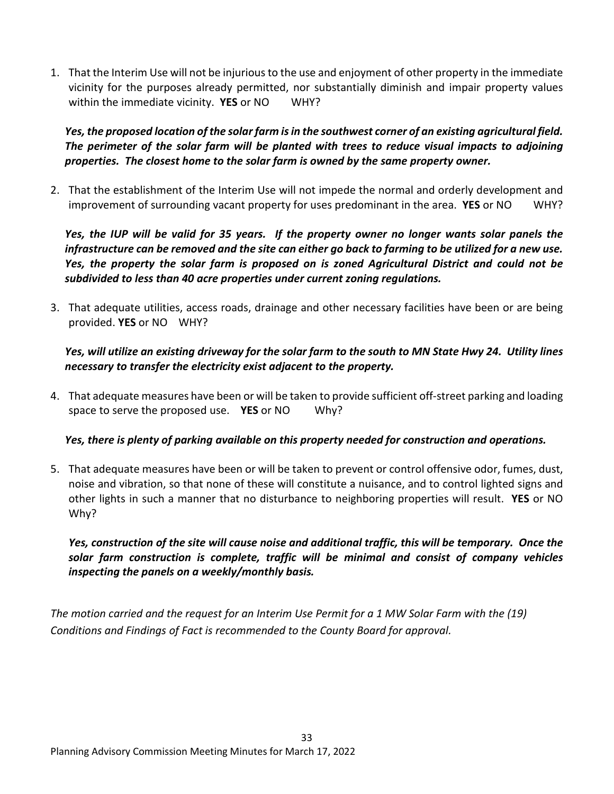1. That the Interim Use will not be injurious to the use and enjoyment of other property in the immediate vicinity for the purposes already permitted, nor substantially diminish and impair property values within the immediate vicinity. **YES** or NO WHY?

*Yes, the proposed location of the solar farm is in the southwest corner of an existing agricultural field. The perimeter of the solar farm will be planted with trees to reduce visual impacts to adjoining properties. The closest home to the solar farm is owned by the same property owner.*

2. That the establishment of the Interim Use will not impede the normal and orderly development and improvement of surrounding vacant property for uses predominant in the area. **YES** or NO WHY?

*Yes, the IUP will be valid for 35 years. If the property owner no longer wants solar panels the infrastructure can be removed and the site can either go back to farming to be utilized for a new use. Yes, the property the solar farm is proposed on is zoned Agricultural District and could not be subdivided to less than 40 acre properties under current zoning regulations.* 

3. That adequate utilities, access roads, drainage and other necessary facilities have been or are being provided. **YES** or NO WHY?

## *Yes, will utilize an existing driveway for the solar farm to the south to MN State Hwy 24. Utility lines necessary to transfer the electricity exist adjacent to the property.*

4. That adequate measures have been or will be taken to provide sufficient off-street parking and loading space to serve the proposed use. **YES** or NO Why?

# *Yes, there is plenty of parking available on this property needed for construction and operations.*

5. That adequate measures have been or will be taken to prevent or control offensive odor, fumes, dust, noise and vibration, so that none of these will constitute a nuisance, and to control lighted signs and other lights in such a manner that no disturbance to neighboring properties will result. **YES** or NO Why?

*Yes, construction of the site will cause noise and additional traffic, this will be temporary. Once the solar farm construction is complete, traffic will be minimal and consist of company vehicles inspecting the panels on a weekly/monthly basis.*

*The motion carried and the request for an Interim Use Permit for a 1 MW Solar Farm with the (19) Conditions and Findings of Fact is recommended to the County Board for approval.*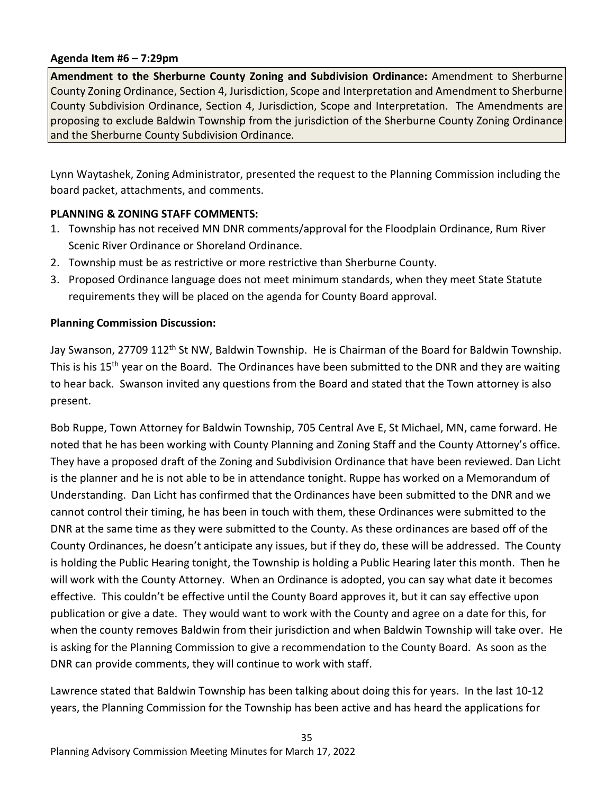#### **Agenda Item #6 – 7:29pm**

**Amendment to the Sherburne County Zoning and Subdivision Ordinance:** Amendment to Sherburne County Zoning Ordinance, Section 4, Jurisdiction, Scope and Interpretation and Amendment to Sherburne County Subdivision Ordinance, Section 4, Jurisdiction, Scope and Interpretation. The Amendments are proposing to exclude Baldwin Township from the jurisdiction of the Sherburne County Zoning Ordinance and the Sherburne County Subdivision Ordinance.

Lynn Waytashek, Zoning Administrator, presented the request to the Planning Commission including the board packet, attachments, and comments.

## **PLANNING & ZONING STAFF COMMENTS:**

- 1. Township has not received MN DNR comments/approval for the Floodplain Ordinance, Rum River Scenic River Ordinance or Shoreland Ordinance.
- 2. Township must be as restrictive or more restrictive than Sherburne County.
- 3. Proposed Ordinance language does not meet minimum standards, when they meet State Statute requirements they will be placed on the agenda for County Board approval.

## **Planning Commission Discussion:**

Jay Swanson, 27709 112<sup>th</sup> St NW, Baldwin Township. He is Chairman of the Board for Baldwin Township. This is his 15<sup>th</sup> year on the Board. The Ordinances have been submitted to the DNR and they are waiting to hear back. Swanson invited any questions from the Board and stated that the Town attorney is also present.

Bob Ruppe, Town Attorney for Baldwin Township, 705 Central Ave E, St Michael, MN, came forward. He noted that he has been working with County Planning and Zoning Staff and the County Attorney's office. They have a proposed draft of the Zoning and Subdivision Ordinance that have been reviewed. Dan Licht is the planner and he is not able to be in attendance tonight. Ruppe has worked on a Memorandum of Understanding. Dan Licht has confirmed that the Ordinances have been submitted to the DNR and we cannot control their timing, he has been in touch with them, these Ordinances were submitted to the DNR at the same time as they were submitted to the County. As these ordinances are based off of the County Ordinances, he doesn't anticipate any issues, but if they do, these will be addressed. The County is holding the Public Hearing tonight, the Township is holding a Public Hearing later this month. Then he will work with the County Attorney. When an Ordinance is adopted, you can say what date it becomes effective. This couldn't be effective until the County Board approves it, but it can say effective upon publication or give a date. They would want to work with the County and agree on a date for this, for when the county removes Baldwin from their jurisdiction and when Baldwin Township will take over. He is asking for the Planning Commission to give a recommendation to the County Board. As soon as the DNR can provide comments, they will continue to work with staff.

Lawrence stated that Baldwin Township has been talking about doing this for years. In the last 10-12 years, the Planning Commission for the Township has been active and has heard the applications for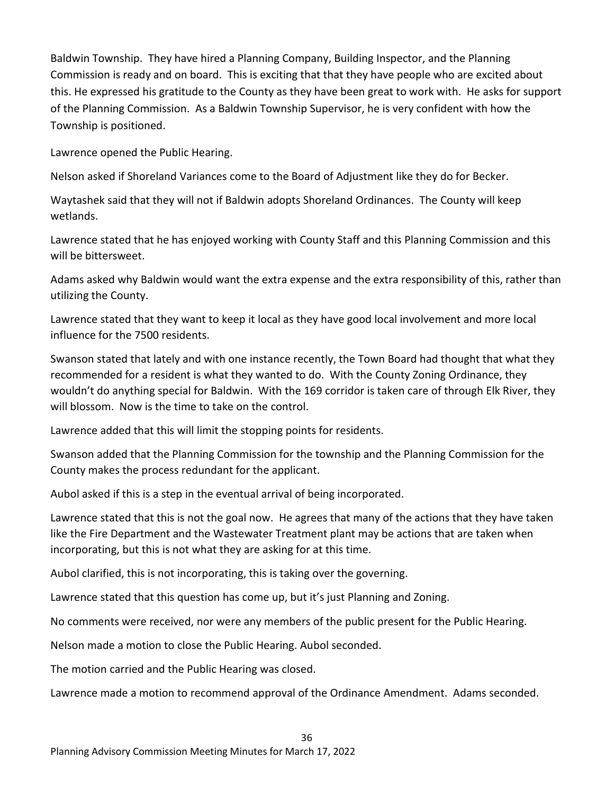Baldwin Township. They have hired a Planning Company, Building Inspector, and the Planning Commission is ready and on board. This is exciting that that they have people who are excited about this. He expressed his gratitude to the County as they have been great to work with. He asks for support of the Planning Commission. As a Baldwin Township Supervisor, he is very confident with how the Township is positioned.

Lawrence opened the Public Hearing.

Nelson asked if Shoreland Variances come to the Board of Adjustment like they do for Becker.

Waytashek said that they will not if Baldwin adopts Shoreland Ordinances. The County will keep wetlands.

Lawrence stated that he has enjoyed working with County Staff and this Planning Commission and this will be bittersweet.

Adams asked why Baldwin would want the extra expense and the extra responsibility of this, rather than utilizing the County.

Lawrence stated that they want to keep it local as they have good local involvement and more local influence for the 7500 residents.

Swanson stated that lately and with one instance recently, the Town Board had thought that what they recommended for a resident is what they wanted to do. With the County Zoning Ordinance, they wouldn't do anything special for Baldwin. With the 169 corridor is taken care of through Elk River, they will blossom. Now is the time to take on the control.

Lawrence added that this will limit the stopping points for residents.

Swanson added that the Planning Commission for the township and the Planning Commission for the County makes the process redundant for the applicant.

Aubol asked if this is a step in the eventual arrival of being incorporated.

Lawrence stated that this is not the goal now. He agrees that many of the actions that they have taken like the Fire Department and the Wastewater Treatment plant may be actions that are taken when incorporating, but this is not what they are asking for at this time.

Aubol clarified, this is not incorporating, this is taking over the governing.

Lawrence stated that this question has come up, but it's just Planning and Zoning.

No comments were received, nor were any members of the public present for the Public Hearing.

Nelson made a motion to close the Public Hearing. Aubol seconded.

The motion carried and the Public Hearing was closed.

Lawrence made a motion to recommend approval of the Ordinance Amendment. Adams seconded.